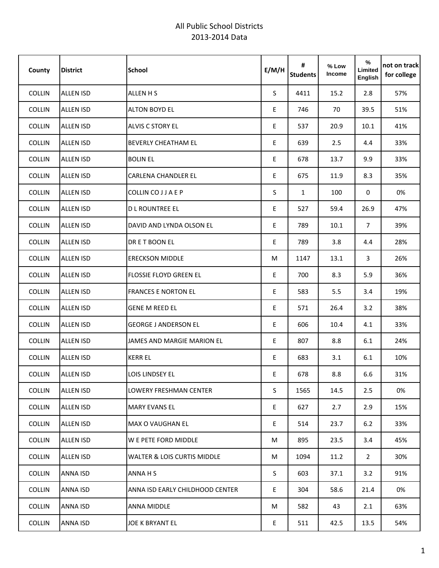| County        | <b>District</b>  | <b>School</b>                          | E/M/H | #<br><b>Students</b> | % Low<br>Income | %<br>Limited<br>English | not on track<br>for college |
|---------------|------------------|----------------------------------------|-------|----------------------|-----------------|-------------------------|-----------------------------|
| <b>COLLIN</b> | <b>ALLEN ISD</b> | ALLEN H S                              | S.    | 4411                 | 15.2            | 2.8                     | 57%                         |
| COLLIN        | <b>ALLEN ISD</b> | <b>ALTON BOYD EL</b>                   | E     | 746                  | 70              | 39.5                    | 51%                         |
| COLLIN        | <b>ALLEN ISD</b> | <b>ALVIS C STORY EL</b>                | E     | 537                  | 20.9            | 10.1                    | 41%                         |
| <b>COLLIN</b> | <b>ALLEN ISD</b> | <b>BEVERLY CHEATHAM EL</b>             | E     | 639                  | 2.5             | 4.4                     | 33%                         |
| COLLIN        | <b>ALLEN ISD</b> | <b>BOLIN EL</b>                        | E     | 678                  | 13.7            | 9.9                     | 33%                         |
| <b>COLLIN</b> | <b>ALLEN ISD</b> | <b>CARLENA CHANDLER EL</b>             | E     | 675                  | 11.9            | 8.3                     | 35%                         |
| <b>COLLIN</b> | <b>ALLEN ISD</b> | COLLIN CO J J A E P                    | S.    | $\mathbf{1}$         | 100             | 0                       | 0%                          |
| COLLIN        | <b>ALLEN ISD</b> | <b>DLROUNTREE EL</b>                   | E     | 527                  | 59.4            | 26.9                    | 47%                         |
| <b>COLLIN</b> | <b>ALLEN ISD</b> | DAVID AND LYNDA OLSON EL               | E     | 789                  | 10.1            | $\overline{7}$          | 39%                         |
| COLLIN        | <b>ALLEN ISD</b> | DR E T BOON EL                         | E     | 789                  | 3.8             | 4.4                     | 28%                         |
| <b>COLLIN</b> | <b>ALLEN ISD</b> | <b>ERECKSON MIDDLE</b>                 | М     | 1147                 | 13.1            | 3                       | 26%                         |
| <b>COLLIN</b> | <b>ALLEN ISD</b> | <b>FLOSSIE FLOYD GREEN EL</b>          | E     | 700                  | 8.3             | 5.9                     | 36%                         |
| COLLIN        | <b>ALLEN ISD</b> | <b>FRANCES E NORTON EL</b>             | E     | 583                  | 5.5             | 3.4                     | 19%                         |
| COLLIN        | <b>ALLEN ISD</b> | <b>GENE M REED EL</b>                  | E     | 571                  | 26.4            | 3.2                     | 38%                         |
| <b>COLLIN</b> | <b>ALLEN ISD</b> | <b>GEORGE J ANDERSON EL</b>            | E     | 606                  | 10.4            | 4.1                     | 33%                         |
| COLLIN        | <b>ALLEN ISD</b> | JAMES AND MARGIE MARION EL             | E     | 807                  | 8.8             | 6.1                     | 24%                         |
| <b>COLLIN</b> | <b>ALLEN ISD</b> | <b>KERR EL</b>                         | E     | 683                  | 3.1             | 6.1                     | 10%                         |
| <b>COLLIN</b> | <b>ALLEN ISD</b> | <b>LOIS LINDSEY EL</b>                 | E     | 678                  | 8.8             | 6.6                     | 31%                         |
| COLLIN        | <b>ALLEN ISD</b> | LOWERY FRESHMAN CENTER                 | S     | 1565                 | 14.5            | 2.5                     | 0%                          |
| <b>COLLIN</b> | ALLEN ISD        | <b>MARY EVANS EL</b>                   | E.    | 627                  | 2.7             | 2.9                     | 15%                         |
| COLLIN        | <b>ALLEN ISD</b> | <b>MAX O VAUGHAN EL</b>                | E     | 514                  | 23.7            | 6.2                     | 33%                         |
| COLLIN        | <b>ALLEN ISD</b> | W E PETE FORD MIDDLE                   | M     | 895                  | 23.5            | 3.4                     | 45%                         |
| COLLIN        | <b>ALLEN ISD</b> | <b>WALTER &amp; LOIS CURTIS MIDDLE</b> | М     | 1094                 | 11.2            | $\mathbf{2}$            | 30%                         |
| COLLIN        | ANNA ISD         | <b>ANNAHS</b>                          | S     | 603                  | 37.1            | 3.2                     | 91%                         |
| COLLIN        | ANNA ISD         | ANNA ISD EARLY CHILDHOOD CENTER        | E     | 304                  | 58.6            | 21.4                    | 0%                          |
| COLLIN        | ANNA ISD         | <b>ANNA MIDDLE</b>                     | М     | 582                  | 43              | 2.1                     | 63%                         |
| COLLIN        | ANNA ISD         | JOE K BRYANT EL                        | E     | 511                  | 42.5            | 13.5                    | 54%                         |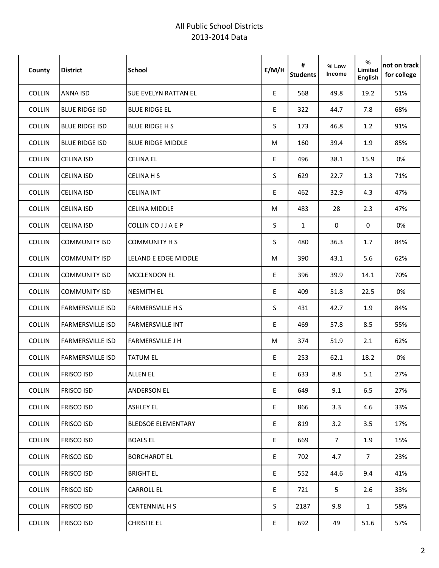| County        | <b>District</b>         | <b>School</b>               | E/M/H | #<br><b>Students</b> | % Low<br>Income | %<br>Limited<br>English | not on track<br>for college |
|---------------|-------------------------|-----------------------------|-------|----------------------|-----------------|-------------------------|-----------------------------|
| COLLIN        | ANNA ISD                | <b>SUE EVELYN RATTAN EL</b> | E     | 568                  | 49.8            | 19.2                    | 51%                         |
| <b>COLLIN</b> | <b>BLUE RIDGE ISD</b>   | <b>BLUE RIDGE EL</b>        | E     | 322                  | 44.7            | 7.8                     | 68%                         |
| <b>COLLIN</b> | <b>BLUE RIDGE ISD</b>   | <b>BLUE RIDGE H S</b>       | S     | 173                  | 46.8            | 1.2                     | 91%                         |
| COLLIN        | <b>BLUE RIDGE ISD</b>   | <b>BLUE RIDGE MIDDLE</b>    | M     | 160                  | 39.4            | 1.9                     | 85%                         |
| <b>COLLIN</b> | <b>CELINA ISD</b>       | <b>CELINA EL</b>            | E     | 496                  | 38.1            | 15.9                    | 0%                          |
| <b>COLLIN</b> | <b>CELINA ISD</b>       | <b>CELINA H S</b>           | S     | 629                  | 22.7            | 1.3                     | 71%                         |
| COLLIN        | <b>CELINA ISD</b>       | <b>CELINA INT</b>           | E     | 462                  | 32.9            | 4.3                     | 47%                         |
| <b>COLLIN</b> | <b>CELINA ISD</b>       | <b>CELINA MIDDLE</b>        | M     | 483                  | 28              | 2.3                     | 47%                         |
| <b>COLLIN</b> | <b>CELINA ISD</b>       | COLLIN CO J J A E P         | S     | $\mathbf{1}$         | 0               | 0                       | 0%                          |
| COLLIN        | <b>COMMUNITY ISD</b>    | <b>COMMUNITY H S</b>        | S.    | 480                  | 36.3            | 1.7                     | 84%                         |
| COLLIN        | <b>COMMUNITY ISD</b>    | <b>LELAND E EDGE MIDDLE</b> | M     | 390                  | 43.1            | 5.6                     | 62%                         |
| COLLIN        | <b>COMMUNITY ISD</b>    | <b>MCCLENDON EL</b>         | E     | 396                  | 39.9            | 14.1                    | 70%                         |
| COLLIN        | <b>COMMUNITY ISD</b>    | <b>NESMITH EL</b>           | E     | 409                  | 51.8            | 22.5                    | 0%                          |
| COLLIN        | <b>FARMERSVILLE ISD</b> | <b>FARMERSVILLE H S</b>     | S     | 431                  | 42.7            | 1.9                     | 84%                         |
| COLLIN        | <b>FARMERSVILLE ISD</b> | <b>FARMERSVILLE INT</b>     | E     | 469                  | 57.8            | 8.5                     | 55%                         |
| COLLIN        | <b>FARMERSVILLE ISD</b> | <b>FARMERSVILLE J H</b>     | M     | 374                  | 51.9            | 2.1                     | 62%                         |
| <b>COLLIN</b> | <b>FARMERSVILLE ISD</b> | <b>TATUM EL</b>             | E     | 253                  | 62.1            | 18.2                    | 0%                          |
| <b>COLLIN</b> | <b>FRISCO ISD</b>       | <b>ALLEN EL</b>             | E     | 633                  | 8.8             | 5.1                     | 27%                         |
| COLLIN        | <b>FRISCO ISD</b>       | <b>ANDERSON EL</b>          | E     | 649                  | 9.1             | 6.5                     | 27%                         |
| COLLIN        | <b>FRISCO ISD</b>       | <b>ASHLEY EL</b>            | E.    | 866                  | 3.3             | 4.6                     | 33%                         |
| COLLIN        | <b>FRISCO ISD</b>       | <b>BLEDSOE ELEMENTARY</b>   | E     | 819                  | 3.2             | 3.5                     | 17%                         |
| COLLIN        | <b>FRISCO ISD</b>       | <b>BOALS EL</b>             | E.    | 669                  | 7 <sup>1</sup>  | 1.9                     | 15%                         |
| COLLIN        | <b>FRISCO ISD</b>       | <b>BORCHARDT EL</b>         | E.    | 702                  | 4.7             | 7 <sup>7</sup>          | 23%                         |
| COLLIN        | <b>FRISCO ISD</b>       | <b>BRIGHT EL</b>            | E     | 552                  | 44.6            | 9.4                     | 41%                         |
| <b>COLLIN</b> | <b>FRISCO ISD</b>       | CARROLL EL                  | E     | 721                  | 5               | 2.6                     | 33%                         |
| COLLIN        | <b>FRISCO ISD</b>       | <b>CENTENNIAL H S</b>       | S.    | 2187                 | 9.8             | $\mathbf{1}$            | 58%                         |
| COLLIN        | <b>FRISCO ISD</b>       | <b>CHRISTIE EL</b>          | E     | 692                  | 49              | 51.6                    | 57%                         |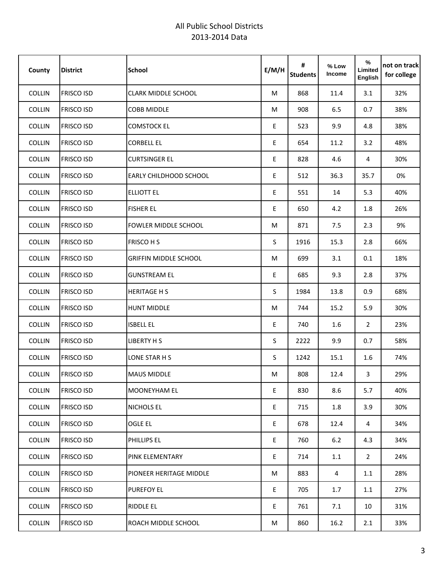| County        | <b>District</b>   | <b>School</b>                 | E/M/H | #<br><b>Students</b> | % Low<br>Income | %<br>Limited<br>English | not on track<br>for college |
|---------------|-------------------|-------------------------------|-------|----------------------|-----------------|-------------------------|-----------------------------|
| COLLIN        | <b>FRISCO ISD</b> | <b>CLARK MIDDLE SCHOOL</b>    | М     | 868                  | 11.4            | 3.1                     | 32%                         |
| COLLIN        | <b>FRISCO ISD</b> | <b>COBB MIDDLE</b>            | M     | 908                  | 6.5             | 0.7                     | 38%                         |
| <b>COLLIN</b> | <b>FRISCO ISD</b> | <b>COMSTOCK EL</b>            | E     | 523                  | 9.9             | 4.8                     | 38%                         |
| COLLIN        | <b>FRISCO ISD</b> | <b>CORBELL EL</b>             | E     | 654                  | 11.2            | 3.2                     | 48%                         |
| <b>COLLIN</b> | <b>FRISCO ISD</b> | <b>CURTSINGER EL</b>          | E     | 828                  | 4.6             | 4                       | 30%                         |
| <b>COLLIN</b> | <b>FRISCO ISD</b> | <b>EARLY CHILDHOOD SCHOOL</b> | E     | 512                  | 36.3            | 35.7                    | 0%                          |
| COLLIN        | <b>FRISCO ISD</b> | <b>ELLIOTT EL</b>             | E     | 551                  | 14              | 5.3                     | 40%                         |
| <b>COLLIN</b> | <b>FRISCO ISD</b> | <b>FISHER EL</b>              | E     | 650                  | 4.2             | 1.8                     | 26%                         |
| COLLIN        | <b>FRISCO ISD</b> | <b>FOWLER MIDDLE SCHOOL</b>   | М     | 871                  | 7.5             | 2.3                     | 9%                          |
| COLLIN        | <b>FRISCO ISD</b> | <b>FRISCO H S</b>             | S     | 1916                 | 15.3            | 2.8                     | 66%                         |
| COLLIN        | <b>FRISCO ISD</b> | <b>GRIFFIN MIDDLE SCHOOL</b>  | М     | 699                  | 3.1             | 0.1                     | 18%                         |
| COLLIN        | <b>FRISCO ISD</b> | <b>GUNSTREAM EL</b>           | E     | 685                  | 9.3             | 2.8                     | 37%                         |
| COLLIN        | <b>FRISCO ISD</b> | <b>HERITAGE H S</b>           | S.    | 1984                 | 13.8            | 0.9                     | 68%                         |
| COLLIN        | <b>FRISCO ISD</b> | <b>HUNT MIDDLE</b>            | M     | 744                  | 15.2            | 5.9                     | 30%                         |
| COLLIN        | <b>FRISCO ISD</b> | <b>ISBELL EL</b>              | E     | 740                  | 1.6             | $\overline{2}$          | 23%                         |
| COLLIN        | <b>FRISCO ISD</b> | <b>LIBERTY H S</b>            | S.    | 2222                 | 9.9             | 0.7                     | 58%                         |
| COLLIN        | <b>FRISCO ISD</b> | LONE STAR H S                 | S.    | 1242                 | 15.1            | 1.6                     | 74%                         |
| <b>COLLIN</b> | <b>FRISCO ISD</b> | <b>MAUS MIDDLE</b>            | М     | 808                  | 12.4            | 3                       | 29%                         |
| COLLIN        | <b>FRISCO ISD</b> | <b>MOONEYHAM EL</b>           | E     | 830                  | 8.6             | 5.7                     | 40%                         |
| COLLIN        | <b>FRISCO ISD</b> | NICHOLS EL                    | E     | 715                  | 1.8             | 3.9                     | 30%                         |
| COLLIN        | <b>FRISCO ISD</b> | <b>OGLE EL</b>                | E     | 678                  | 12.4            | 4                       | 34%                         |
| COLLIN        | <b>FRISCO ISD</b> | PHILLIPS EL                   | E     | 760                  | 6.2             | 4.3                     | 34%                         |
| COLLIN        | <b>FRISCO ISD</b> | <b>PINK ELEMENTARY</b>        | E     | 714                  | 1.1             | $2^{\circ}$             | 24%                         |
| COLLIN        | <b>FRISCO ISD</b> | PIONEER HERITAGE MIDDLE       | M     | 883                  | 4               | 1.1                     | 28%                         |
| <b>COLLIN</b> | <b>FRISCO ISD</b> | <b>PUREFOY EL</b>             | E     | 705                  | 1.7             | 1.1                     | 27%                         |
| COLLIN        | <b>FRISCO ISD</b> | <b>RIDDLE EL</b>              | E     | 761                  | 7.1             | 10                      | 31%                         |
| COLLIN        | <b>FRISCO ISD</b> | ROACH MIDDLE SCHOOL           | M     | 860                  | 16.2            | 2.1                     | 33%                         |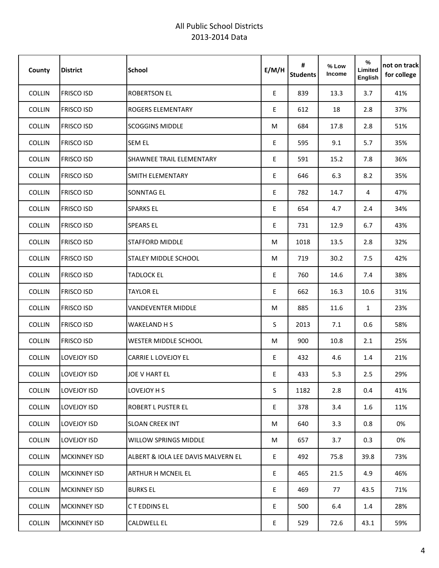| County        | <b>District</b>     | <b>School</b>                      | E/M/H | #<br><b>Students</b> | % Low<br>Income | %<br>Limited<br>English | not on track<br>for college |
|---------------|---------------------|------------------------------------|-------|----------------------|-----------------|-------------------------|-----------------------------|
| COLLIN        | <b>FRISCO ISD</b>   | <b>ROBERTSON EL</b>                | E     | 839                  | 13.3            | 3.7                     | 41%                         |
| <b>COLLIN</b> | <b>FRISCO ISD</b>   | <b>ROGERS ELEMENTARY</b>           | E     | 612                  | 18              | 2.8                     | 37%                         |
| <b>COLLIN</b> | <b>FRISCO ISD</b>   | <b>SCOGGINS MIDDLE</b>             | М     | 684                  | 17.8            | 2.8                     | 51%                         |
| COLLIN        | <b>FRISCO ISD</b>   | <b>SEM EL</b>                      | E     | 595                  | 9.1             | 5.7                     | 35%                         |
| <b>COLLIN</b> | <b>FRISCO ISD</b>   | <b>SHAWNEE TRAIL ELEMENTARY</b>    | E     | 591                  | 15.2            | 7.8                     | 36%                         |
| <b>COLLIN</b> | <b>FRISCO ISD</b>   | SMITH ELEMENTARY                   | E     | 646                  | 6.3             | 8.2                     | 35%                         |
| COLLIN        | <b>FRISCO ISD</b>   | <b>SONNTAG EL</b>                  | E     | 782                  | 14.7            | 4                       | 47%                         |
| <b>COLLIN</b> | <b>FRISCO ISD</b>   | <b>SPARKS EL</b>                   | E.    | 654                  | 4.7             | 2.4                     | 34%                         |
| <b>COLLIN</b> | <b>FRISCO ISD</b>   | <b>SPEARS EL</b>                   | E     | 731                  | 12.9            | 6.7                     | 43%                         |
| COLLIN        | <b>FRISCO ISD</b>   | <b>STAFFORD MIDDLE</b>             | М     | 1018                 | 13.5            | 2.8                     | 32%                         |
| <b>COLLIN</b> | <b>FRISCO ISD</b>   | <b>STALEY MIDDLE SCHOOL</b>        | М     | 719                  | 30.2            | 7.5                     | 42%                         |
| <b>COLLIN</b> | <b>FRISCO ISD</b>   | <b>TADLOCK EL</b>                  | E.    | 760                  | 14.6            | 7.4                     | 38%                         |
| COLLIN        | <b>FRISCO ISD</b>   | <b>TAYLOR EL</b>                   | E     | 662                  | 16.3            | 10.6                    | 31%                         |
| COLLIN        | <b>FRISCO ISD</b>   | <b>VANDEVENTER MIDDLE</b>          | M     | 885                  | 11.6            | $\mathbf{1}$            | 23%                         |
| COLLIN        | <b>FRISCO ISD</b>   | <b>WAKELAND H S</b>                | S     | 2013                 | 7.1             | 0.6                     | 58%                         |
| COLLIN        | <b>FRISCO ISD</b>   | <b>WESTER MIDDLE SCHOOL</b>        | М     | 900                  | 10.8            | 2.1                     | 25%                         |
| <b>COLLIN</b> | LOVEJOY ISD         | CARRIE L LOVEJOY EL                | E     | 432                  | 4.6             | 1.4                     | 21%                         |
| <b>COLLIN</b> | LOVEJOY ISD         | JOE V HART EL                      | E     | 433                  | 5.3             | 2.5                     | 29%                         |
| <b>COLLIN</b> | LOVEJOY ISD         | LOVEJOY H S                        | S     | 1182                 | 2.8             | 0.4                     | 41%                         |
| COLLIN        | LOVEJOY ISD         | <b>ROBERT L PUSTER EL</b>          | E     | 378                  | 3.4             | $1.6\,$                 | 11%                         |
| COLLIN        | LOVEJOY ISD         | <b>SLOAN CREEK INT</b>             | M     | 640                  | 3.3             | 0.8                     | 0%                          |
| COLLIN        | LOVEJOY ISD         | <b>WILLOW SPRINGS MIDDLE</b>       | М     | 657                  | 3.7             | 0.3                     | 0%                          |
| COLLIN        | <b>MCKINNEY ISD</b> | ALBERT & IOLA LEE DAVIS MALVERN EL | E     | 492                  | 75.8            | 39.8                    | 73%                         |
| <b>COLLIN</b> | <b>MCKINNEY ISD</b> | <b>ARTHUR H MCNEIL EL</b>          | E     | 465                  | 21.5            | 4.9                     | 46%                         |
| <b>COLLIN</b> | <b>MCKINNEY ISD</b> | <b>BURKS EL</b>                    | E     | 469                  | 77              | 43.5                    | 71%                         |
| COLLIN        | <b>MCKINNEY ISD</b> | C T EDDINS EL                      | E.    | 500                  | 6.4             | 1.4                     | 28%                         |
| COLLIN        | <b>MCKINNEY ISD</b> | <b>CALDWELL EL</b>                 | E     | 529                  | 72.6            | 43.1                    | 59%                         |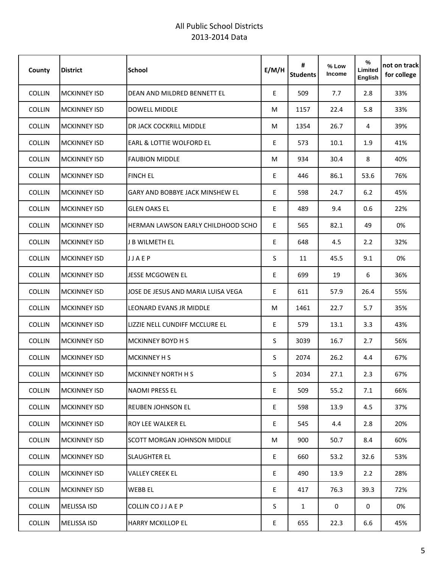| County        | <b>District</b>     | <b>School</b>                          | E/M/H | #<br><b>Students</b> | % Low<br>Income | %<br>Limited<br>English | not on track <br>for college |
|---------------|---------------------|----------------------------------------|-------|----------------------|-----------------|-------------------------|------------------------------|
| <b>COLLIN</b> | <b>MCKINNEY ISD</b> | DEAN AND MILDRED BENNETT EL            | E     | 509                  | 7.7             | 2.8                     | 33%                          |
| <b>COLLIN</b> | <b>MCKINNEY ISD</b> | <b>DOWELL MIDDLE</b>                   | M     | 1157                 | 22.4            | 5.8                     | 33%                          |
| <b>COLLIN</b> | <b>MCKINNEY ISD</b> | DR JACK COCKRILL MIDDLE                | M     | 1354                 | 26.7            | 4                       | 39%                          |
| <b>COLLIN</b> | <b>MCKINNEY ISD</b> | EARL & LOTTIE WOLFORD EL               | Ε     | 573                  | 10.1            | 1.9                     | 41%                          |
| <b>COLLIN</b> | <b>MCKINNEY ISD</b> | <b>FAUBION MIDDLE</b>                  | M     | 934                  | 30.4            | 8                       | 40%                          |
| <b>COLLIN</b> | <b>MCKINNEY ISD</b> | <b>FINCH EL</b>                        | Ε     | 446                  | 86.1            | 53.6                    | 76%                          |
| <b>COLLIN</b> | <b>MCKINNEY ISD</b> | <b>GARY AND BOBBYE JACK MINSHEW EL</b> | Ε     | 598                  | 24.7            | 6.2                     | 45%                          |
| <b>COLLIN</b> | <b>MCKINNEY ISD</b> | <b>GLEN OAKS EL</b>                    | E.    | 489                  | 9.4             | 0.6                     | 22%                          |
| <b>COLLIN</b> | <b>MCKINNEY ISD</b> | HERMAN LAWSON EARLY CHILDHOOD SCHO     | E     | 565                  | 82.1            | 49                      | 0%                           |
| <b>COLLIN</b> | <b>MCKINNEY ISD</b> | J B WILMETH EL                         | Ε     | 648                  | 4.5             | 2.2                     | 32%                          |
| <b>COLLIN</b> | <b>MCKINNEY ISD</b> | JJAEP                                  | S     | 11                   | 45.5            | 9.1                     | 0%                           |
| <b>COLLIN</b> | <b>MCKINNEY ISD</b> | <b>JESSE MCGOWEN EL</b>                | E.    | 699                  | 19              | 6                       | 36%                          |
| <b>COLLIN</b> | <b>MCKINNEY ISD</b> | JOSE DE JESUS AND MARIA LUISA VEGA     | E     | 611                  | 57.9            | 26.4                    | 55%                          |
| <b>COLLIN</b> | <b>MCKINNEY ISD</b> | LEONARD EVANS JR MIDDLE                | M     | 1461                 | 22.7            | 5.7                     | 35%                          |
| COLLIN        | <b>MCKINNEY ISD</b> | LIZZIE NELL CUNDIFF MCCLURE EL         | E     | 579                  | 13.1            | 3.3                     | 43%                          |
| <b>COLLIN</b> | <b>MCKINNEY ISD</b> | <b>MCKINNEY BOYD H S</b>               | S     | 3039                 | 16.7            | 2.7                     | 56%                          |
| <b>COLLIN</b> | <b>MCKINNEY ISD</b> | <b>MCKINNEY H S</b>                    | S     | 2074                 | 26.2            | 4.4                     | 67%                          |
| <b>COLLIN</b> | <b>MCKINNEY ISD</b> | MCKINNEY NORTH H S                     | S     | 2034                 | 27.1            | 2.3                     | 67%                          |
| COLLIN        | <b>MCKINNEY ISD</b> | <b>NAOMI PRESS EL</b>                  | E     | 509                  | 55.2            | 7.1                     | 66%                          |
| COLLIN        | <b>MCKINNEY ISD</b> | <b>REUBEN JOHNSON EL</b>               | E     | 598                  | 13.9            | 4.5                     | 37%                          |
| COLLIN        | <b>MCKINNEY ISD</b> | <b>ROY LEE WALKER EL</b>               | E     | 545                  | 4.4             | 2.8                     | 20%                          |
| <b>COLLIN</b> | <b>MCKINNEY ISD</b> | <b>SCOTT MORGAN JOHNSON MIDDLE</b>     | M     | 900                  | 50.7            | 8.4                     | 60%                          |
| COLLIN        | <b>MCKINNEY ISD</b> | <b>SLAUGHTER EL</b>                    | E     | 660                  | 53.2            | 32.6                    | 53%                          |
| <b>COLLIN</b> | <b>MCKINNEY ISD</b> | <b>VALLEY CREEK EL</b>                 | E     | 490                  | 13.9            | 2.2                     | 28%                          |
| <b>COLLIN</b> | <b>MCKINNEY ISD</b> | <b>WEBB EL</b>                         | E     | 417                  | 76.3            | 39.3                    | 72%                          |
| COLLIN        | <b>MELISSA ISD</b>  | COLLIN CO J J A E P                    | S     | $\mathbf{1}$         | $\mathbf 0$     | 0                       | 0%                           |
| COLLIN        | <b>MELISSA ISD</b>  | <b>HARRY MCKILLOP EL</b>               | E     | 655                  | 22.3            | 6.6                     | 45%                          |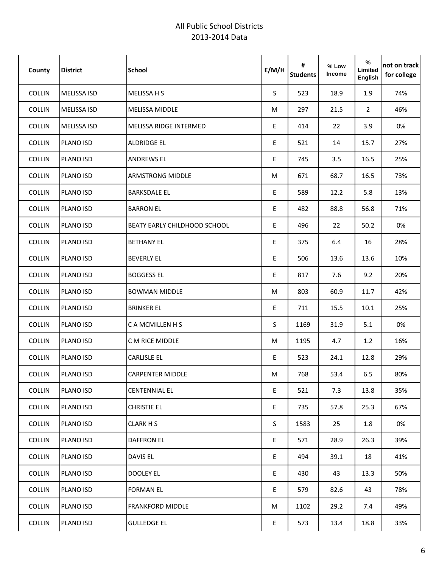| County        | <b>District</b>    | <b>School</b>                       | E/M/H | #<br><b>Students</b> | % Low<br>Income | %<br>Limited<br>English | not on track<br>for college |
|---------------|--------------------|-------------------------------------|-------|----------------------|-----------------|-------------------------|-----------------------------|
| <b>COLLIN</b> | MELISSA ISD        | <b>MELISSA H S</b>                  | S.    | 523                  | 18.9            | 1.9                     | 74%                         |
| <b>COLLIN</b> | <b>MELISSA ISD</b> | <b>MELISSA MIDDLE</b>               | M     | 297                  | 21.5            | $\overline{2}$          | 46%                         |
| COLLIN        | <b>MELISSA ISD</b> | MELISSA RIDGE INTERMED              | E     | 414                  | 22              | 3.9                     | 0%                          |
| <b>COLLIN</b> | PLANO ISD          | <b>ALDRIDGE EL</b>                  | E     | 521                  | 14              | 15.7                    | 27%                         |
| <b>COLLIN</b> | PLANO ISD          | <b>ANDREWS EL</b>                   | E     | 745                  | 3.5             | 16.5                    | 25%                         |
| <b>COLLIN</b> | PLANO ISD          | <b>ARMSTRONG MIDDLE</b>             | M     | 671                  | 68.7            | 16.5                    | 73%                         |
| <b>COLLIN</b> | PLANO ISD          | <b>BARKSDALE EL</b>                 | E     | 589                  | 12.2            | 5.8                     | 13%                         |
| COLLIN        | <b>PLANO ISD</b>   | <b>BARRON EL</b>                    | E     | 482                  | 88.8            | 56.8                    | 71%                         |
| <b>COLLIN</b> | PLANO ISD          | <b>BEATY EARLY CHILDHOOD SCHOOL</b> | E.    | 496                  | 22              | 50.2                    | 0%                          |
| COLLIN        | PLANO ISD          | <b>BETHANY EL</b>                   | E     | 375                  | 6.4             | 16                      | 28%                         |
| COLLIN        | PLANO ISD          | <b>BEVERLY EL</b>                   | E     | 506                  | 13.6            | 13.6                    | 10%                         |
| COLLIN        | PLANO ISD          | <b>BOGGESS EL</b>                   | E     | 817                  | 7.6             | 9.2                     | 20%                         |
| <b>COLLIN</b> | PLANO ISD          | <b>BOWMAN MIDDLE</b>                | М     | 803                  | 60.9            | 11.7                    | 42%                         |
| COLLIN        | PLANO ISD          | <b>BRINKER EL</b>                   | E     | 711                  | 15.5            | 10.1                    | 25%                         |
| COLLIN        | PLANO ISD          | C A MCMILLEN H S                    | S     | 1169                 | 31.9            | 5.1                     | 0%                          |
| COLLIN        | PLANO ISD          | C M RICE MIDDLE                     | M     | 1195                 | 4.7             | 1.2                     | 16%                         |
| COLLIN        | PLANO ISD          | <b>CARLISLE EL</b>                  | E     | 523                  | 24.1            | 12.8                    | 29%                         |
| <b>COLLIN</b> | PLANO ISD          | <b>CARPENTER MIDDLE</b>             | M     | 768                  | 53.4            | 6.5                     | 80%                         |
| COLLIN        | PLANO ISD          | <b>CENTENNIAL EL</b>                | E     | 521                  | 7.3             | 13.8                    | 35%                         |
| <b>COLLIN</b> | PLANO ISD          | <b>CHRISTIE EL</b>                  | E     | 735                  | 57.8            | 25.3                    | 67%                         |
| COLLIN        | PLANO ISD          | <b>CLARK H S</b>                    | S     | 1583                 | 25              | 1.8                     | 0%                          |
| COLLIN        | PLANO ISD          | <b>DAFFRON EL</b>                   | E     | 571                  | 28.9            | 26.3                    | 39%                         |
| COLLIN        | PLANO ISD          | <b>DAVIS EL</b>                     | E     | 494                  | 39.1            | 18                      | 41%                         |
| COLLIN        | PLANO ISD          | <b>DOOLEY EL</b>                    | E     | 430                  | 43              | 13.3                    | 50%                         |
| COLLIN        | PLANO ISD          | <b>FORMAN EL</b>                    | E     | 579                  | 82.6            | 43                      | 78%                         |
| COLLIN        | PLANO ISD          | <b>FRANKFORD MIDDLE</b>             | М     | 1102                 | 29.2            | 7.4                     | 49%                         |
| COLLIN        | PLANO ISD          | <b>GULLEDGE EL</b>                  | E     | 573                  | 13.4            | 18.8                    | 33%                         |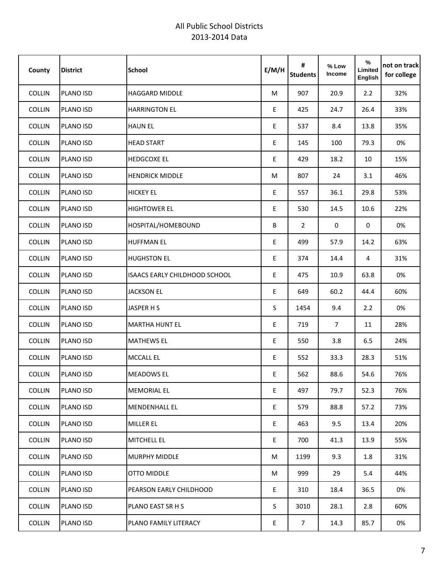| County        | <b>District</b> | <b>School</b>                        | E/M/H | #<br><b>Students</b> | % Low<br>Income | $\%$<br>Limited<br>English | not on track<br>for college |
|---------------|-----------------|--------------------------------------|-------|----------------------|-----------------|----------------------------|-----------------------------|
| COLLIN        | PLANO ISD       | <b>HAGGARD MIDDLE</b>                | M     | 907                  | 20.9            | 2.2                        | 32%                         |
| COLLIN        | PLANO ISD       | <b>HARRINGTON EL</b>                 | E     | 425                  | 24.7            | 26.4                       | 33%                         |
| <b>COLLIN</b> | PLANO ISD       | <b>HAUN EL</b>                       | E     | 537                  | 8.4             | 13.8                       | 35%                         |
| <b>COLLIN</b> | PLANO ISD       | <b>HEAD START</b>                    | E     | 145                  | 100             | 79.3                       | 0%                          |
| <b>COLLIN</b> | PLANO ISD       | <b>HEDGCOXE EL</b>                   | E     | 429                  | 18.2            | 10                         | 15%                         |
| <b>COLLIN</b> | PLANO ISD       | <b>HENDRICK MIDDLE</b>               | M     | 807                  | 24              | 3.1                        | 46%                         |
| COLLIN        | PLANO ISD       | <b>HICKEY EL</b>                     | E     | 557                  | 36.1            | 29.8                       | 53%                         |
| <b>COLLIN</b> | PLANO ISD       | <b>HIGHTOWER EL</b>                  | E     | 530                  | 14.5            | 10.6                       | 22%                         |
| COLLIN        | PLANO ISD       | HOSPITAL/HOMEBOUND                   | B     | $\overline{2}$       | 0               | 0                          | 0%                          |
| COLLIN        | PLANO ISD       | <b>HUFFMAN EL</b>                    | E     | 499                  | 57.9            | 14.2                       | 63%                         |
| COLLIN        | PLANO ISD       | <b>HUGHSTON EL</b>                   | E     | 374                  | 14.4            | 4                          | 31%                         |
| COLLIN        | PLANO ISD       | <b>ISAACS EARLY CHILDHOOD SCHOOL</b> | E     | 475                  | 10.9            | 63.8                       | 0%                          |
| COLLIN        | PLANO ISD       | <b>JACKSON EL</b>                    | E     | 649                  | 60.2            | 44.4                       | 60%                         |
| COLLIN        | PLANO ISD       | JASPER H S                           | S     | 1454                 | 9.4             | 2.2                        | 0%                          |
| COLLIN        | PLANO ISD       | <b>MARTHA HUNT EL</b>                | E     | 719                  | $\overline{7}$  | 11                         | 28%                         |
| COLLIN        | PLANO ISD       | <b>MATHEWS EL</b>                    | E     | 550                  | 3.8             | 6.5                        | 24%                         |
| COLLIN        | PLANO ISD       | <b>MCCALL EL</b>                     | Ε     | 552                  | 33.3            | 28.3                       | 51%                         |
| <b>COLLIN</b> | PLANO ISD       | <b>MEADOWS EL</b>                    | E     | 562                  | 88.6            | 54.6                       | 76%                         |
| COLLIN        | PLANO ISD       | <b>MEMORIAL EL</b>                   | E     | 497                  | 79.7            | 52.3                       | 76%                         |
| COLLIN        | PLANO ISD       | <b>MENDENHALL EL</b>                 | E     | 579                  | 88.8            | 57.2                       | 73%                         |
| COLLIN        | PLANO ISD       | <b>MILLER EL</b>                     | E     | 463                  | 9.5             | 13.4                       | 20%                         |
| COLLIN        | PLANO ISD       | <b>MITCHELL EL</b>                   | E.    | 700                  | 41.3            | 13.9                       | 55%                         |
| COLLIN        | PLANO ISD       | <b>MURPHY MIDDLE</b>                 | M     | 1199                 | 9.3             | $1.8\,$                    | 31%                         |
| COLLIN        | PLANO ISD       | OTTO MIDDLE                          | M     | 999                  | 29              | 5.4                        | 44%                         |
| <b>COLLIN</b> | PLANO ISD       | PEARSON EARLY CHILDHOOD              | E     | 310                  | 18.4            | 36.5                       | 0%                          |
| COLLIN        | PLANO ISD       | PLANO EAST SR H S                    | S.    | 3010                 | 28.1            | 2.8                        | 60%                         |
| <b>COLLIN</b> | PLANO ISD       | PLANO FAMILY LITERACY                | E     | $7\overline{ }$      | 14.3            | 85.7                       | 0%                          |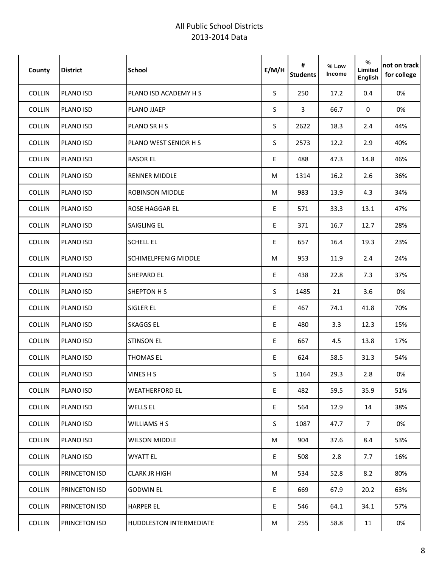| County        | <b>District</b> | <b>School</b>                  | E/M/H | #<br><b>Students</b> | % Low<br>Income | $\%$<br>Limited<br>English | not on track<br>for college |
|---------------|-----------------|--------------------------------|-------|----------------------|-----------------|----------------------------|-----------------------------|
| COLLIN        | PLANO ISD       | PLANO ISD ACADEMY H S          | S.    | 250                  | 17.2            | 0.4                        | 0%                          |
| COLLIN        | PLANO ISD       | PLANO JJAEP                    | S     | $\overline{3}$       | 66.7            | 0                          | 0%                          |
| <b>COLLIN</b> | PLANO ISD       | PLANO SR H S                   | S     | 2622                 | 18.3            | 2.4                        | 44%                         |
| COLLIN        | PLANO ISD       | PLANO WEST SENIOR H S          | S     | 2573                 | 12.2            | 2.9                        | 40%                         |
| <b>COLLIN</b> | PLANO ISD       | <b>RASOR EL</b>                | E     | 488                  | 47.3            | 14.8                       | 46%                         |
| <b>COLLIN</b> | PLANO ISD       | <b>RENNER MIDDLE</b>           | M     | 1314                 | 16.2            | 2.6                        | 36%                         |
| COLLIN        | PLANO ISD       | <b>ROBINSON MIDDLE</b>         | M     | 983                  | 13.9            | 4.3                        | 34%                         |
| <b>COLLIN</b> | PLANO ISD       | <b>ROSE HAGGAR EL</b>          | E     | 571                  | 33.3            | 13.1                       | 47%                         |
| COLLIN        | PLANO ISD       | <b>SAIGLING EL</b>             | E.    | 371                  | 16.7            | 12.7                       | 28%                         |
| COLLIN        | PLANO ISD       | <b>SCHELL EL</b>               | E     | 657                  | 16.4            | 19.3                       | 23%                         |
| COLLIN        | PLANO ISD       | <b>SCHIMELPFENIG MIDDLE</b>    | M     | 953                  | 11.9            | 2.4                        | 24%                         |
| COLLIN        | PLANO ISD       | <b>SHEPARD EL</b>              | E     | 438                  | 22.8            | 7.3                        | 37%                         |
| COLLIN        | PLANO ISD       | <b>SHEPTON H S</b>             | S.    | 1485                 | 21              | 3.6                        | 0%                          |
| COLLIN        | PLANO ISD       | <b>SIGLER EL</b>               | E     | 467                  | 74.1            | 41.8                       | 70%                         |
| COLLIN        | PLANO ISD       | <b>SKAGGS EL</b>               | E     | 480                  | 3.3             | 12.3                       | 15%                         |
| COLLIN        | PLANO ISD       | <b>STINSON EL</b>              | E     | 667                  | 4.5             | 13.8                       | 17%                         |
| COLLIN        | PLANO ISD       | <b>THOMAS EL</b>               | E     | 624                  | 58.5            | 31.3                       | 54%                         |
| <b>COLLIN</b> | PLANO ISD       | VINES H S                      | S     | 1164                 | 29.3            | 2.8                        | 0%                          |
| COLLIN        | PLANO ISD       | <b>WEATHERFORD EL</b>          | E     | 482                  | 59.5            | 35.9                       | 51%                         |
| COLLIN        | PLANO ISD       | <b>WELLS EL</b>                | E     | 564                  | 12.9            | 14                         | 38%                         |
| COLLIN        | PLANO ISD       | WILLIAMS H S                   | S     | 1087                 | 47.7            | 7 <sup>7</sup>             | 0%                          |
| COLLIN        | PLANO ISD       | <b>WILSON MIDDLE</b>           | M     | 904                  | 37.6            | 8.4                        | 53%                         |
| COLLIN        | PLANO ISD       | <b>WYATT EL</b>                | E     | 508                  | 2.8             | 7.7                        | 16%                         |
| COLLIN        | PRINCETON ISD   | <b>CLARK JR HIGH</b>           | M     | 534                  | 52.8            | 8.2                        | 80%                         |
| <b>COLLIN</b> | PRINCETON ISD   | <b>GODWIN EL</b>               | E     | 669                  | 67.9            | 20.2                       | 63%                         |
| COLLIN        | PRINCETON ISD   | <b>HARPER EL</b>               | E.    | 546                  | 64.1            | 34.1                       | 57%                         |
| COLLIN        | PRINCETON ISD   | <b>HUDDLESTON INTERMEDIATE</b> | M     | 255                  | 58.8            | 11                         | 0%                          |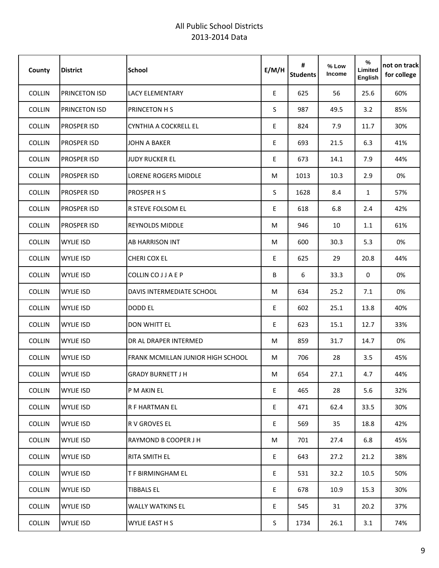| County        | <b>District</b>    | <b>School</b>                            | E/M/H | #<br><b>Students</b> | % Low<br>Income | %<br>Limited<br>English | not on track<br>for college |
|---------------|--------------------|------------------------------------------|-------|----------------------|-----------------|-------------------------|-----------------------------|
| COLLIN        | PRINCETON ISD      | <b>LACY ELEMENTARY</b>                   | E     | 625                  | 56              | 25.6                    | 60%                         |
| <b>COLLIN</b> | PRINCETON ISD      | <b>PRINCETON H S</b>                     | S     | 987                  | 49.5            | 3.2                     | 85%                         |
| <b>COLLIN</b> | PROSPER ISD        | CYNTHIA A COCKRELL EL                    | E     | 824                  | 7.9             | 11.7                    | 30%                         |
| <b>COLLIN</b> | PROSPER ISD        | <b>JOHN A BAKER</b>                      | E     | 693                  | 21.5            | 6.3                     | 41%                         |
| <b>COLLIN</b> | PROSPER ISD        | <b>JUDY RUCKER EL</b>                    | E     | 673                  | 14.1            | 7.9                     | 44%                         |
| <b>COLLIN</b> | PROSPER ISD        | LORENE ROGERS MIDDLE                     | М     | 1013                 | 10.3            | 2.9                     | 0%                          |
| <b>COLLIN</b> | PROSPER ISD        | <b>PROSPER H S</b>                       | S     | 1628                 | 8.4             | $\mathbf{1}$            | 57%                         |
| <b>COLLIN</b> | PROSPER ISD        | <b>R STEVE FOLSOM EL</b>                 | E.    | 618                  | 6.8             | 2.4                     | 42%                         |
| <b>COLLIN</b> | <b>PROSPER ISD</b> | <b>REYNOLDS MIDDLE</b>                   | М     | 946                  | 10              | 1.1                     | 61%                         |
| COLLIN        | <b>WYLIE ISD</b>   | <b>AB HARRISON INT</b>                   | М     | 600                  | 30.3            | 5.3                     | 0%                          |
| <b>COLLIN</b> | <b>WYLIE ISD</b>   | CHERI COX EL                             | E     | 625                  | 29              | 20.8                    | 44%                         |
| <b>COLLIN</b> | <b>WYLIE ISD</b>   | COLLIN CO J J A E P                      | B     | 6                    | 33.3            | 0                       | 0%                          |
| COLLIN        | <b>WYLIE ISD</b>   | DAVIS INTERMEDIATE SCHOOL                | М     | 634                  | 25.2            | 7.1                     | 0%                          |
| <b>COLLIN</b> | <b>WYLIE ISD</b>   | <b>DODD EL</b>                           | E     | 602                  | 25.1            | 13.8                    | 40%                         |
| COLLIN        | <b>WYLIE ISD</b>   | <b>DON WHITT EL</b>                      | E     | 623                  | 15.1            | 12.7                    | 33%                         |
| <b>COLLIN</b> | <b>WYLIE ISD</b>   | DR AL DRAPER INTERMED                    | М     | 859                  | 31.7            | 14.7                    | 0%                          |
| <b>COLLIN</b> | <b>WYLIE ISD</b>   | <b>FRANK MCMILLAN JUNIOR HIGH SCHOOL</b> | М     | 706                  | 28              | 3.5                     | 45%                         |
| <b>COLLIN</b> | <b>WYLIE ISD</b>   | <b>I</b> GRADY BURNETT J H               | М     | 654                  | 27.1            | 4.7                     | 44%                         |
| COLLIN        | <b>WYLIE ISD</b>   | P M AKIN EL                              | E     | 465                  | 28              | 5.6                     | 32%                         |
| <b>COLLIN</b> | WYLIE ISD          | R F HARTMAN EL                           | E     | 471                  | 62.4            | 33.5                    | 30%                         |
| COLLIN        | WYLIE ISD          | R V GROVES EL                            | E     | 569                  | 35              | 18.8                    | 42%                         |
| COLLIN        | <b>WYLIE ISD</b>   | RAYMOND B COOPER J H                     | М     | 701                  | 27.4            | 6.8                     | 45%                         |
| COLLIN        | <b>WYLIE ISD</b>   | <b>RITA SMITH EL</b>                     | E     | 643                  | 27.2            | 21.2                    | 38%                         |
| COLLIN        | <b>WYLIE ISD</b>   | <b>T F BIRMINGHAM EL</b>                 | E     | 531                  | 32.2            | 10.5                    | 50%                         |
| <b>COLLIN</b> | WYLIE ISD          | <b>TIBBALS EL</b>                        | E     | 678                  | 10.9            | 15.3                    | 30%                         |
| COLLIN        | <b>WYLIE ISD</b>   | <b>WALLY WATKINS EL</b>                  | E.    | 545                  | 31              | 20.2                    | 37%                         |
| COLLIN        | <b>WYLIE ISD</b>   | WYLIE EAST H S                           | S.    | 1734                 | 26.1            | 3.1                     | 74%                         |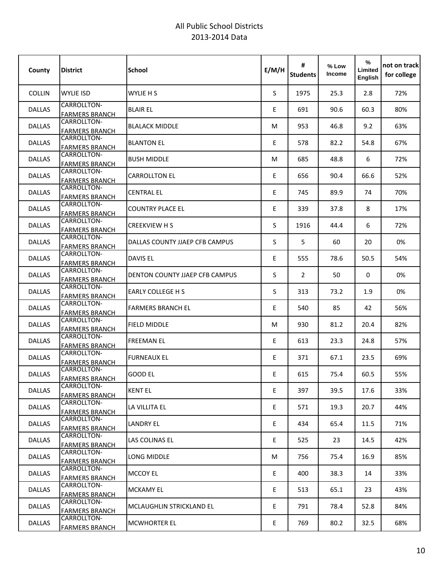| County        | <b>District</b>                      | <b>School</b>                  | E/M/H | #<br><b>Students</b> | % Low<br>Income | $\%$<br>Limited<br>English | not on track<br>for college |
|---------------|--------------------------------------|--------------------------------|-------|----------------------|-----------------|----------------------------|-----------------------------|
| <b>COLLIN</b> | <b>WYLIE ISD</b>                     | WYLIE H S                      | S     | 1975                 | 25.3            | 2.8                        | 72%                         |
| <b>DALLAS</b> | CARROLLTON-<br><b>FARMERS BRANCH</b> | <b>BLAIR EL</b>                | E     | 691                  | 90.6            | 60.3                       | 80%                         |
| <b>DALLAS</b> | CARROLLTON-<br><b>FARMERS BRANCH</b> | <b>BLALACK MIDDLE</b>          | м     | 953                  | 46.8            | 9.2                        | 63%                         |
| <b>DALLAS</b> | CARROLLTON-<br><b>FARMERS BRANCH</b> | <b>BLANTON EL</b>              | E.    | 578                  | 82.2            | 54.8                       | 67%                         |
| <b>DALLAS</b> | CARROLLTON-<br><b>FARMERS BRANCH</b> | <b>BUSH MIDDLE</b>             | М     | 685                  | 48.8            | 6                          | 72%                         |
| <b>DALLAS</b> | CARROLLTON-<br><b>FARMERS BRANCH</b> | <b>CARROLLTON EL</b>           | E     | 656                  | 90.4            | 66.6                       | 52%                         |
| <b>DALLAS</b> | CARROLLTON-<br><b>FARMERS BRANCH</b> | <b>CENTRAL EL</b>              | E     | 745                  | 89.9            | 74                         | 70%                         |
| <b>DALLAS</b> | CARROLLTON-<br><b>FARMERS BRANCH</b> | <b>COUNTRY PLACE EL</b>        | E.    | 339                  | 37.8            | 8                          | 17%                         |
| <b>DALLAS</b> | CARROLLTON-<br><b>FARMERS BRANCH</b> | <b>CREEKVIEW H S</b>           | S     | 1916                 | 44.4            | 6                          | 72%                         |
| <b>DALLAS</b> | CARROLLTON-<br><b>FARMERS BRANCH</b> | DALLAS COUNTY JJAEP CFB CAMPUS | S     | 5                    | 60              | 20                         | 0%                          |
| <b>DALLAS</b> | CARROLLTON-<br><b>FARMERS BRANCH</b> | <b>DAVIS EL</b>                | E     | 555                  | 78.6            | 50.5                       | 54%                         |
| <b>DALLAS</b> | CARROLLTON-<br><b>FARMERS BRANCH</b> | DENTON COUNTY JJAEP CFB CAMPUS | S     | $\overline{2}$       | 50              | 0                          | 0%                          |
| <b>DALLAS</b> | CARROLLTON-<br><b>FARMERS BRANCH</b> | EARLY COLLEGE H S              | S     | 313                  | 73.2            | 1.9                        | 0%                          |
| <b>DALLAS</b> | CARROLLTON-<br><b>FARMERS BRANCH</b> | <b>FARMERS BRANCH EL</b>       | E     | 540                  | 85              | 42                         | 56%                         |
| <b>DALLAS</b> | CARROLLTON-<br><b>FARMERS BRANCH</b> | <b>FIELD MIDDLE</b>            | М     | 930                  | 81.2            | 20.4                       | 82%                         |
| <b>DALLAS</b> | CARROLLTON-<br><b>FARMERS BRANCH</b> | <b>FREEMAN EL</b>              | E.    | 613                  | 23.3            | 24.8                       | 57%                         |
| <b>DALLAS</b> | CARROLLTON-<br><b>FARMERS BRANCH</b> | <b>FURNEAUX EL</b>             | E     | 371                  | 67.1            | 23.5                       | 69%                         |
| DALLAS        | CARROLLTON-<br><b>FARMERS BRANCH</b> | GOOD EL                        | E     | 615                  | 75.4            | 60.5                       | 55%                         |
| <b>DALLAS</b> | CARROLLTON-<br><b>FARMERS BRANCH</b> | <b>KENT EL</b>                 | E     | 397                  | 39.5            | 17.6                       | 33%                         |
| <b>DALLAS</b> | CARROLLTON-<br><b>FARMERS BRANCH</b> | LA VILLITA EL                  | E     | 571                  | 19.3            | 20.7                       | 44%                         |
| <b>DALLAS</b> | CARROLLTON-<br><b>FARMERS BRANCH</b> | <b>LANDRY EL</b>               | E     | 434                  | 65.4            | 11.5                       | 71%                         |
| <b>DALLAS</b> | CARROLLTON-<br><b>FARMERS BRANCH</b> | LAS COLINAS EL                 | E     | 525                  | 23              | 14.5                       | 42%                         |
| <b>DALLAS</b> | CARROLLTON-<br><b>FARMERS BRANCH</b> | LONG MIDDLE                    | M     | 756                  | 75.4            | 16.9                       | 85%                         |
| <b>DALLAS</b> | CARROLLTON-<br><b>FARMERS BRANCH</b> | <b>MCCOY EL</b>                | E     | 400                  | 38.3            | 14                         | 33%                         |
| <b>DALLAS</b> | CARROLLTON-<br><b>FARMERS BRANCH</b> | <b>MCKAMY EL</b>               | E.    | 513                  | 65.1            | 23                         | 43%                         |
| <b>DALLAS</b> | CARROLLTON-<br><b>FARMERS BRANCH</b> | MCLAUGHLIN STRICKLAND EL       | E     | 791                  | 78.4            | 52.8                       | 84%                         |
| <b>DALLAS</b> | CARROLLTON-<br><b>FARMERS BRANCH</b> | <b>MCWHORTER EL</b>            | E     | 769                  | 80.2            | 32.5                       | 68%                         |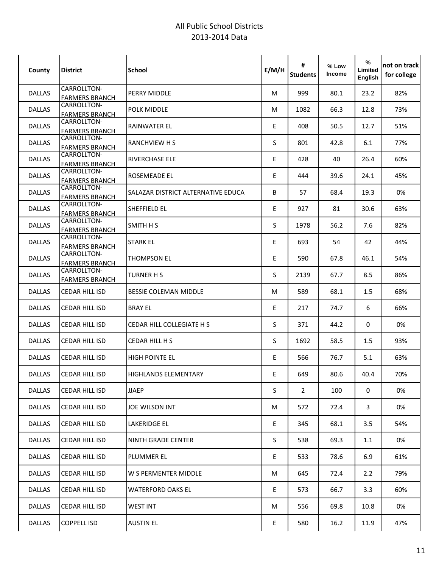| County        | <b>District</b>                             | <b>School</b>                      | E/M/H | #<br><b>Students</b> | % Low<br><b>Income</b> | %<br>Limited<br>English | not on track<br>for college |
|---------------|---------------------------------------------|------------------------------------|-------|----------------------|------------------------|-------------------------|-----------------------------|
| <b>DALLAS</b> | CARROLLTON-<br><b>FARMERS BRANCH</b>        | PERRY MIDDLE                       | м     | 999                  | 80.1                   | 23.2                    | 82%                         |
| <b>DALLAS</b> | CARROLLTON-<br><b>FARMERS BRANCH</b>        | POLK MIDDLE                        | М     | 1082                 | 66.3                   | 12.8                    | 73%                         |
| <b>DALLAS</b> | CARROLLTON-<br><b>FARMERS BRANCH</b>        | <b>RAINWATER EL</b>                | E     | 408                  | 50.5                   | 12.7                    | 51%                         |
| <b>DALLAS</b> | CARROLLTON-<br><b>FARMERS BRANCH</b>        | <b>RANCHVIEW H S</b>               | S     | 801                  | 42.8                   | 6.1                     | 77%                         |
| <b>DALLAS</b> | CARROLLTON-<br><b>FARMERS BRANCH</b>        | <b>RIVERCHASE ELE</b>              | E     | 428                  | 40                     | 26.4                    | 60%                         |
| <b>DALLAS</b> | CARROLLTON-<br><b>FARMERS BRANCH</b>        | ROSEMEADE EL                       | E     | 444                  | 39.6                   | 24.1                    | 45%                         |
| <b>DALLAS</b> | CARROLLTON-<br><b>FARMERS BRANCH</b>        | SALAZAR DISTRICT ALTERNATIVE EDUCA | B     | 57                   | 68.4                   | 19.3                    | 0%                          |
| <b>DALLAS</b> | CARROLLTON-<br><b>FARMERS BRANCH</b>        | SHEFFIELD EL                       | E     | 927                  | 81                     | 30.6                    | 63%                         |
| <b>DALLAS</b> | CARROLLTON-<br><b>FARMERS BRANCH</b>        | SMITH H S                          | S.    | 1978                 | 56.2                   | 7.6                     | 82%                         |
| <b>DALLAS</b> | CARROLLTON-<br><b>FARMERS BRANCH</b>        | <b>STARK EL</b>                    | E     | 693                  | 54                     | 42                      | 44%                         |
| <b>DALLAS</b> | <b>CARROLLTON-</b><br><b>FARMERS BRANCH</b> | <b>THOMPSON EL</b>                 | E     | 590                  | 67.8                   | 46.1                    | 54%                         |
| <b>DALLAS</b> | CARROLLTON-<br><b>FARMERS BRANCH</b>        | <b>TURNER H S</b>                  | S     | 2139                 | 67.7                   | 8.5                     | 86%                         |
| <b>DALLAS</b> | CEDAR HILL ISD                              | BESSIE COLEMAN MIDDLE              | М     | 589                  | 68.1                   | 1.5                     | 68%                         |
| <b>DALLAS</b> | <b>CEDAR HILL ISD</b>                       | <b>BRAY EL</b>                     | E     | 217                  | 74.7                   | 6                       | 66%                         |
| <b>DALLAS</b> | CEDAR HILL ISD                              | <b>CEDAR HILL COLLEGIATE H S</b>   | S.    | 371                  | 44.2                   | 0                       | 0%                          |
| <b>DALLAS</b> | CEDAR HILL ISD                              | CEDAR HILL H S                     | S.    | 1692                 | 58.5                   | 1.5                     | 93%                         |
| <b>DALLAS</b> | <b>CEDAR HILL ISD</b>                       | <b>HIGH POINTE EL</b>              | E     | 566                  | 76.7                   | 5.1                     | 63%                         |
| DALLAS        | CEDAR HILL ISD                              | HIGHLANDS ELEMENTARY               | E     | 649                  | 80.6                   | 40.4                    | 70%                         |
| DALLAS        | CEDAR HILL ISD                              | <b>JJAEP</b>                       | S.    | $\overline{2}$       | 100                    | 0                       | 0%                          |
| <b>DALLAS</b> | CEDAR HILL ISD                              | JOE WILSON INT                     | M     | 572                  | 72.4                   | 3                       | 0%                          |
| DALLAS        | CEDAR HILL ISD                              | LAKERIDGE EL                       | E     | 345                  | 68.1                   | 3.5                     | 54%                         |
| <b>DALLAS</b> | CEDAR HILL ISD                              | NINTH GRADE CENTER                 | S.    | 538                  | 69.3                   | 1.1                     | 0%                          |
| DALLAS        | <b>CEDAR HILL ISD</b>                       | <b>PLUMMER EL</b>                  | E.    | 533                  | 78.6                   | 6.9                     | 61%                         |
| DALLAS        | CEDAR HILL ISD                              | W S PERMENTER MIDDLE               | M     | 645                  | 72.4                   | 2.2                     | 79%                         |
| <b>DALLAS</b> | CEDAR HILL ISD                              | <b>WATERFORD OAKS EL</b>           | E     | 573                  | 66.7                   | 3.3                     | 60%                         |
| DALLAS        | CEDAR HILL ISD                              | <b>WEST INT</b>                    | M     | 556                  | 69.8                   | 10.8                    | 0%                          |
| DALLAS        | <b>COPPELL ISD</b>                          | <b>AUSTIN EL</b>                   | E.    | 580                  | 16.2                   | 11.9                    | 47%                         |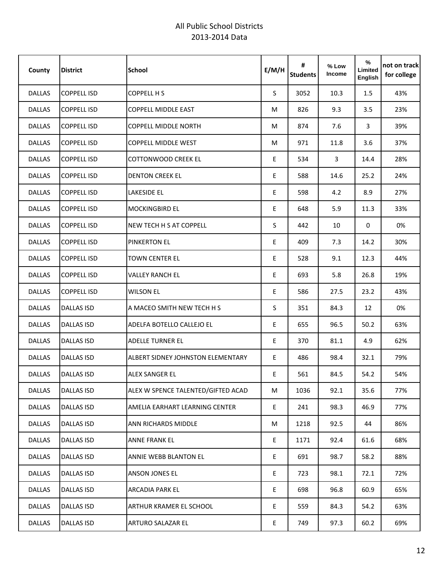| County        | <b>District</b>    | <b>School</b>                            | E/M/H | #<br><b>Students</b> | % Low<br>Income | %<br>Limited<br>English | not on track<br>for college |
|---------------|--------------------|------------------------------------------|-------|----------------------|-----------------|-------------------------|-----------------------------|
| <b>DALLAS</b> | <b>COPPELL ISD</b> | <b>COPPELL H S</b>                       | S.    | 3052                 | 10.3            | 1.5                     | 43%                         |
| <b>DALLAS</b> | <b>COPPELL ISD</b> | COPPELL MIDDLE EAST                      | М     | 826                  | 9.3             | 3.5                     | 23%                         |
| <b>DALLAS</b> | <b>COPPELL ISD</b> | <b>COPPELL MIDDLE NORTH</b>              | М     | 874                  | 7.6             | 3                       | 39%                         |
| <b>DALLAS</b> | <b>COPPELL ISD</b> | <b>COPPELL MIDDLE WEST</b>               | М     | 971                  | 11.8            | 3.6                     | 37%                         |
| <b>DALLAS</b> | <b>COPPELL ISD</b> | <b>COTTONWOOD CREEK EL</b>               | E     | 534                  | 3               | 14.4                    | 28%                         |
| <b>DALLAS</b> | <b>COPPELL ISD</b> | <b>DENTON CREEK EL</b>                   | E     | 588                  | 14.6            | 25.2                    | 24%                         |
| <b>DALLAS</b> | <b>COPPELL ISD</b> | <b>LAKESIDE EL</b>                       | E     | 598                  | 4.2             | 8.9                     | 27%                         |
| <b>DALLAS</b> | <b>COPPELL ISD</b> | <b>MOCKINGBIRD EL</b>                    | E     | 648                  | 5.9             | 11.3                    | 33%                         |
| <b>DALLAS</b> | <b>COPPELL ISD</b> | <b>NEW TECH H S AT COPPELL</b>           | S     | 442                  | 10              | 0                       | 0%                          |
| <b>DALLAS</b> | <b>COPPELL ISD</b> | <b>PINKERTON EL</b>                      | E     | 409                  | 7.3             | 14.2                    | 30%                         |
| <b>DALLAS</b> | <b>COPPELL ISD</b> | <b>TOWN CENTER EL</b>                    | E     | 528                  | 9.1             | 12.3                    | 44%                         |
| <b>DALLAS</b> | <b>COPPELL ISD</b> | <b>VALLEY RANCH EL</b>                   | E     | 693                  | 5.8             | 26.8                    | 19%                         |
| <b>DALLAS</b> | <b>COPPELL ISD</b> | <b>WILSON EL</b>                         | E     | 586                  | 27.5            | 23.2                    | 43%                         |
| <b>DALLAS</b> | <b>DALLAS ISD</b>  | A MACEO SMITH NEW TECH H S               | S     | 351                  | 84.3            | 12                      | 0%                          |
| <b>DALLAS</b> | <b>DALLAS ISD</b>  | ADELFA BOTELLO CALLEJO EL                | E     | 655                  | 96.5            | 50.2                    | 63%                         |
| <b>DALLAS</b> | <b>DALLAS ISD</b>  | <b>ADELLE TURNER EL</b>                  | E     | 370                  | 81.1            | 4.9                     | 62%                         |
| <b>DALLAS</b> | <b>DALLAS ISD</b>  | <b>ALBERT SIDNEY JOHNSTON ELEMENTARY</b> | E     | 486                  | 98.4            | 32.1                    | 79%                         |
| <b>DALLAS</b> | <b>DALLAS ISD</b>  | ALEX SANGER EL                           | E     | 561                  | 84.5            | 54.2                    | 54%                         |
| <b>DALLAS</b> | <b>DALLAS ISD</b>  | ALEX W SPENCE TALENTED/GIFTED ACAD       | М     | 1036                 | 92.1            | 35.6                    | 77%                         |
| DALLAS        | <b>DALLAS ISD</b>  | AMELIA EARHART LEARNING CENTER           | E     | 241                  | 98.3            | 46.9                    | 77%                         |
| <b>DALLAS</b> | <b>DALLAS ISD</b>  | ANN RICHARDS MIDDLE                      | M     | 1218                 | 92.5            | 44                      | 86%                         |
| <b>DALLAS</b> | <b>DALLAS ISD</b>  | ANNE FRANK EL                            | E     | 1171                 | 92.4            | 61.6                    | 68%                         |
| DALLAS        | <b>DALLAS ISD</b>  | ANNIE WEBB BLANTON EL                    | E     | 691                  | 98.7            | 58.2                    | 88%                         |
| <b>DALLAS</b> | <b>DALLAS ISD</b>  | ANSON JONES EL                           | E     | 723                  | 98.1            | 72.1                    | 72%                         |
| DALLAS        | <b>DALLAS ISD</b>  | ARCADIA PARK EL                          | E     | 698                  | 96.8            | 60.9                    | 65%                         |
| DALLAS        | <b>DALLAS ISD</b>  | ARTHUR KRAMER EL SCHOOL                  | E     | 559                  | 84.3            | 54.2                    | 63%                         |
| DALLAS        | <b>DALLAS ISD</b>  | ARTURO SALAZAR EL                        | E.    | 749                  | 97.3            | 60.2                    | 69%                         |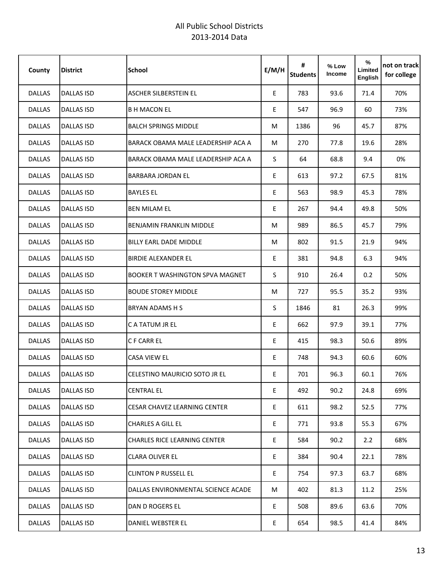| County        | <b>District</b>   | <b>School</b>                          | E/M/H | #<br><b>Students</b> | % Low<br><b>Income</b> | %<br>Limited<br>English | not on track<br>for college |
|---------------|-------------------|----------------------------------------|-------|----------------------|------------------------|-------------------------|-----------------------------|
| <b>DALLAS</b> | <b>DALLAS ISD</b> | ASCHER SILBERSTEIN EL                  | E     | 783                  | 93.6                   | 71.4                    | 70%                         |
| <b>DALLAS</b> | <b>DALLAS ISD</b> | <b>B H MACON EL</b>                    | E     | 547                  | 96.9                   | 60                      | 73%                         |
| <b>DALLAS</b> | <b>DALLAS ISD</b> | <b>BALCH SPRINGS MIDDLE</b>            | М     | 1386                 | 96                     | 45.7                    | 87%                         |
| <b>DALLAS</b> | <b>DALLAS ISD</b> | BARACK OBAMA MALE LEADERSHIP ACA A     | М     | 270                  | 77.8                   | 19.6                    | 28%                         |
| <b>DALLAS</b> | <b>DALLAS ISD</b> | BARACK OBAMA MALE LEADERSHIP ACA A     | S     | 64                   | 68.8                   | 9.4                     | 0%                          |
| <b>DALLAS</b> | <b>DALLAS ISD</b> | <b>BARBARA JORDAN EL</b>               | E     | 613                  | 97.2                   | 67.5                    | 81%                         |
| <b>DALLAS</b> | <b>DALLAS ISD</b> | <b>BAYLES EL</b>                       | E.    | 563                  | 98.9                   | 45.3                    | 78%                         |
| <b>DALLAS</b> | <b>DALLAS ISD</b> | <b>BEN MILAM EL</b>                    | E     | 267                  | 94.4                   | 49.8                    | 50%                         |
| <b>DALLAS</b> | <b>DALLAS ISD</b> | <b>BENJAMIN FRANKLIN MIDDLE</b>        | м     | 989                  | 86.5                   | 45.7                    | 79%                         |
| <b>DALLAS</b> | <b>DALLAS ISD</b> | BILLY EARL DADE MIDDLE                 | М     | 802                  | 91.5                   | 21.9                    | 94%                         |
| <b>DALLAS</b> | <b>DALLAS ISD</b> | <b>BIRDIE ALEXANDER EL</b>             | E     | 381                  | 94.8                   | 6.3                     | 94%                         |
| <b>DALLAS</b> | <b>DALLAS ISD</b> | <b>BOOKER T WASHINGTON SPVA MAGNET</b> | S     | 910                  | 26.4                   | 0.2                     | 50%                         |
| <b>DALLAS</b> | <b>DALLAS ISD</b> | <b>BOUDE STOREY MIDDLE</b>             | М     | 727                  | 95.5                   | 35.2                    | 93%                         |
| <b>DALLAS</b> | <b>DALLAS ISD</b> | <b>BRYAN ADAMS H S</b>                 | S     | 1846                 | 81                     | 26.3                    | 99%                         |
| <b>DALLAS</b> | <b>DALLAS ISD</b> | C A TATUM JR EL                        | E     | 662                  | 97.9                   | 39.1                    | 77%                         |
| <b>DALLAS</b> | <b>DALLAS ISD</b> | C F CARR EL                            | E     | 415                  | 98.3                   | 50.6                    | 89%                         |
| <b>DALLAS</b> | <b>DALLAS ISD</b> | <b>CASA VIEW EL</b>                    | E     | 748                  | 94.3                   | 60.6                    | 60%                         |
| <b>DALLAS</b> | <b>DALLAS ISD</b> | CELESTINO MAURICIO SOTO JR EL          | E     | 701                  | 96.3                   | 60.1                    | 76%                         |
| <b>DALLAS</b> | <b>DALLAS ISD</b> | <b>CENTRAL EL</b>                      | E     | 492                  | 90.2                   | 24.8                    | 69%                         |
| <b>DALLAS</b> | <b>DALLAS ISD</b> | <b>CESAR CHAVEZ LEARNING CENTER</b>    | E     | 611                  | 98.2                   | 52.5                    | 77%                         |
| <b>DALLAS</b> | <b>DALLAS ISD</b> | CHARLES A GILL EL                      | E     | 771                  | 93.8                   | 55.3                    | 67%                         |
| <b>DALLAS</b> | <b>DALLAS ISD</b> | CHARLES RICE LEARNING CENTER           | E     | 584                  | 90.2                   | 2.2                     | 68%                         |
| <b>DALLAS</b> | <b>DALLAS ISD</b> | <b>CLARA OLIVER EL</b>                 | E     | 384                  | 90.4                   | 22.1                    | 78%                         |
| <b>DALLAS</b> | <b>DALLAS ISD</b> | <b>CLINTON P RUSSELL EL</b>            | E     | 754                  | 97.3                   | 63.7                    | 68%                         |
| <b>DALLAS</b> | <b>DALLAS ISD</b> | DALLAS ENVIRONMENTAL SCIENCE ACADE     | М     | 402                  | 81.3                   | 11.2                    | 25%                         |
| <b>DALLAS</b> | <b>DALLAS ISD</b> | DAN D ROGERS EL                        | E     | 508                  | 89.6                   | 63.6                    | 70%                         |
| <b>DALLAS</b> | <b>DALLAS ISD</b> | DANIEL WEBSTER EL                      | E     | 654                  | 98.5                   | 41.4                    | 84%                         |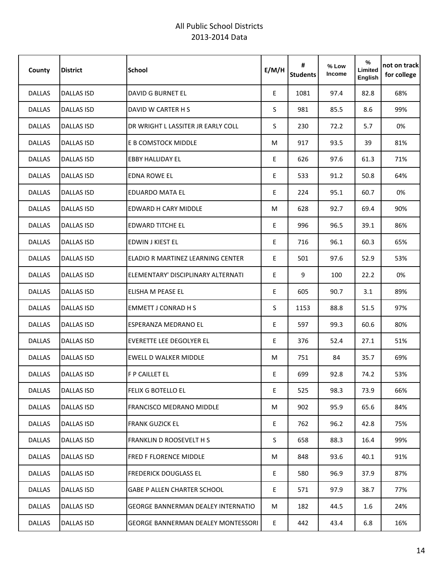| County        | <b>District</b>   | <b>School</b>                             | E/M/H | #<br><b>Students</b> | % Low<br><b>Income</b> | %<br>Limited<br>English | not on track<br>for college |
|---------------|-------------------|-------------------------------------------|-------|----------------------|------------------------|-------------------------|-----------------------------|
| <b>DALLAS</b> | <b>DALLAS ISD</b> | <b>DAVID G BURNET EL</b>                  | E     | 1081                 | 97.4                   | 82.8                    | 68%                         |
| <b>DALLAS</b> | <b>DALLAS ISD</b> | DAVID W CARTER H S                        | S     | 981                  | 85.5                   | 8.6                     | 99%                         |
| <b>DALLAS</b> | <b>DALLAS ISD</b> | DR WRIGHT L LASSITER JR EARLY COLL        | S     | 230                  | 72.2                   | 5.7                     | 0%                          |
| <b>DALLAS</b> | <b>DALLAS ISD</b> | E B COMSTOCK MIDDLE                       | М     | 917                  | 93.5                   | 39                      | 81%                         |
| <b>DALLAS</b> | <b>DALLAS ISD</b> | <b>EBBY HALLIDAY EL</b>                   | E     | 626                  | 97.6                   | 61.3                    | 71%                         |
| <b>DALLAS</b> | DALLAS ISD        | EDNA ROWE EL                              | E     | 533                  | 91.2                   | 50.8                    | 64%                         |
| <b>DALLAS</b> | <b>DALLAS ISD</b> | <b>EDUARDO MATA EL</b>                    | E     | 224                  | 95.1                   | 60.7                    | 0%                          |
| <b>DALLAS</b> | <b>DALLAS ISD</b> | EDWARD H CARY MIDDLE                      | M     | 628                  | 92.7                   | 69.4                    | 90%                         |
| <b>DALLAS</b> | <b>DALLAS ISD</b> | <b>EDWARD TITCHE EL</b>                   | E     | 996                  | 96.5                   | 39.1                    | 86%                         |
| <b>DALLAS</b> | <b>DALLAS ISD</b> | EDWIN J KIEST EL                          | E     | 716                  | 96.1                   | 60.3                    | 65%                         |
| <b>DALLAS</b> | <b>DALLAS ISD</b> | ELADIO R MARTINEZ LEARNING CENTER         | E     | 501                  | 97.6                   | 52.9                    | 53%                         |
| <b>DALLAS</b> | <b>DALLAS ISD</b> | ELEMENTARY' DISCIPLINARY ALTERNATI        | E     | 9                    | 100                    | 22.2                    | 0%                          |
| <b>DALLAS</b> | <b>DALLAS ISD</b> | ELISHA M PEASE EL                         | E     | 605                  | 90.7                   | 3.1                     | 89%                         |
| <b>DALLAS</b> | <b>DALLAS ISD</b> | <b>EMMETT J CONRAD H S</b>                | S     | 1153                 | 88.8                   | 51.5                    | 97%                         |
| <b>DALLAS</b> | <b>DALLAS ISD</b> | <b>ESPERANZA MEDRANO EL</b>               | E     | 597                  | 99.3                   | 60.6                    | 80%                         |
| <b>DALLAS</b> | <b>DALLAS ISD</b> | <b>EVERETTE LEE DEGOLYER EL</b>           | E     | 376                  | 52.4                   | 27.1                    | 51%                         |
| <b>DALLAS</b> | <b>DALLAS ISD</b> | <b>EWELL D WALKER MIDDLE</b>              | М     | 751                  | 84                     | 35.7                    | 69%                         |
| <b>DALLAS</b> | <b>DALLAS ISD</b> | <b>F P CAILLET EL</b>                     | E     | 699                  | 92.8                   | 74.2                    | 53%                         |
| <b>DALLAS</b> | <b>DALLAS ISD</b> | <b>FELIX G BOTELLO EL</b>                 | E     | 525                  | 98.3                   | 73.9                    | 66%                         |
| <b>DALLAS</b> | <b>DALLAS ISD</b> | FRANCISCO MEDRANO MIDDLE                  | M     | 902                  | 95.9                   | 65.6                    | 84%                         |
| <b>DALLAS</b> | <b>DALLAS ISD</b> | <b>FRANK GUZICK EL</b>                    | E     | 762                  | 96.2                   | 42.8                    | 75%                         |
| <b>DALLAS</b> | <b>DALLAS ISD</b> | FRANKLIN D ROOSEVELT H S                  | S.    | 658                  | 88.3                   | 16.4                    | 99%                         |
| <b>DALLAS</b> | <b>DALLAS ISD</b> | <b>FRED F FLORENCE MIDDLE</b>             | M     | 848                  | 93.6                   | 40.1                    | 91%                         |
| <b>DALLAS</b> | <b>DALLAS ISD</b> | <b>FREDERICK DOUGLASS EL</b>              | E     | 580                  | 96.9                   | 37.9                    | 87%                         |
| <b>DALLAS</b> | DALLAS ISD        | <b>GABE P ALLEN CHARTER SCHOOL</b>        | E     | 571                  | 97.9                   | 38.7                    | 77%                         |
| <b>DALLAS</b> | <b>DALLAS ISD</b> | <b>GEORGE BANNERMAN DEALEY INTERNATIO</b> | М     | 182                  | 44.5                   | $1.6\,$                 | 24%                         |
| <b>DALLAS</b> | <b>DALLAS ISD</b> | <b>GEORGE BANNERMAN DEALEY MONTESSORI</b> | E     | 442                  | 43.4                   | 6.8                     | 16%                         |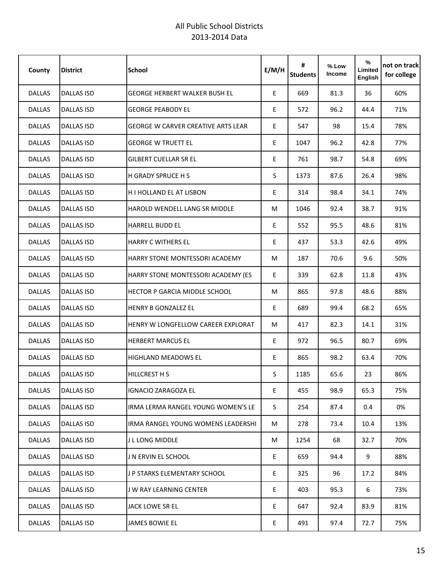| County        | <b>District</b>   | <b>School</b>                        | E/M/H | #<br><b>Students</b> | % Low<br><b>Income</b> | %<br>Limited<br><b>English</b> | not on track<br>for college |
|---------------|-------------------|--------------------------------------|-------|----------------------|------------------------|--------------------------------|-----------------------------|
| <b>DALLAS</b> | <b>DALLAS ISD</b> | <b>GEORGE HERBERT WALKER BUSH EL</b> | E     | 669                  | 81.3                   | 36                             | 60%                         |
| <b>DALLAS</b> | <b>DALLAS ISD</b> | <b>GEORGE PEABODY EL</b>             | E     | 572                  | 96.2                   | 44.4                           | 71%                         |
| <b>DALLAS</b> | <b>DALLAS ISD</b> | GEORGE W CARVER CREATIVE ARTS LEAR   | E     | 547                  | 98                     | 15.4                           | 78%                         |
| <b>DALLAS</b> | DALLAS ISD        | <b>GEORGE W TRUETT EL</b>            | E     | 1047                 | 96.2                   | 42.8                           | 77%                         |
| <b>DALLAS</b> | <b>DALLAS ISD</b> | <b>GILBERT CUELLAR SR EL</b>         | E     | 761                  | 98.7                   | 54.8                           | 69%                         |
| <b>DALLAS</b> | <b>DALLAS ISD</b> | H GRADY SPRUCE H S                   | S     | 1373                 | 87.6                   | 26.4                           | 98%                         |
| <b>DALLAS</b> | <b>DALLAS ISD</b> | H I HOLLAND EL AT LISBON             | E     | 314                  | 98.4                   | 34.1                           | 74%                         |
| <b>DALLAS</b> | <b>DALLAS ISD</b> | <b>HAROLD WENDELL LANG SR MIDDLE</b> | M     | 1046                 | 92.4                   | 38.7                           | 91%                         |
| <b>DALLAS</b> | <b>DALLAS ISD</b> | <b>HARRELL BUDD EL</b>               | E     | 552                  | 95.5                   | 48.6                           | 81%                         |
| <b>DALLAS</b> | <b>DALLAS ISD</b> | <b>HARRY C WITHERS EL</b>            | E     | 437                  | 53.3                   | 42.6                           | 49%                         |
| <b>DALLAS</b> | <b>DALLAS ISD</b> | HARRY STONE MONTESSORI ACADEMY       | M     | 187                  | 70.6                   | 9.6                            | 50%                         |
| <b>DALLAS</b> | <b>DALLAS ISD</b> | HARRY STONE MONTESSORI ACADEMY (ES   | E     | 339                  | 62.8                   | 11.8                           | 43%                         |
| <b>DALLAS</b> | <b>DALLAS ISD</b> | <b>HECTOR P GARCIA MIDDLE SCHOOL</b> | M     | 865                  | 97.8                   | 48.6                           | 88%                         |
| <b>DALLAS</b> | <b>DALLAS ISD</b> | HENRY B GONZALEZ EL                  | E     | 689                  | 99.4                   | 68.2                           | 65%                         |
| <b>DALLAS</b> | <b>DALLAS ISD</b> | HENRY W LONGFELLOW CAREER EXPLORAT   | M     | 417                  | 82.3                   | 14.1                           | 31%                         |
| <b>DALLAS</b> | <b>DALLAS ISD</b> | <b>HERBERT MARCUS EL</b>             | E     | 972                  | 96.5                   | 80.7                           | 69%                         |
| <b>DALLAS</b> | <b>DALLAS ISD</b> | <b>HIGHLAND MEADOWS EL</b>           | E     | 865                  | 98.2                   | 63.4                           | 70%                         |
| <b>DALLAS</b> | <b>DALLAS ISD</b> | <b>HILLCREST H S</b>                 | S     | 1185                 | 65.6                   | 23                             | 86%                         |
| <b>DALLAS</b> | <b>DALLAS ISD</b> | <b>IGNACIO ZARAGOZA EL</b>           | E     | 455                  | 98.9                   | 65.3                           | 75%                         |
| <b>DALLAS</b> | <b>DALLAS ISD</b> | IRMA LERMA RANGEL YOUNG WOMEN'S LE   | S.    | 254                  | 87.4                   | 0.4                            | 0%                          |
| <b>DALLAS</b> | <b>DALLAS ISD</b> | IRMA RANGEL YOUNG WOMENS LEADERSHI   | M     | 278                  | 73.4                   | 10.4                           | 13%                         |
| <b>DALLAS</b> | <b>DALLAS ISD</b> | J L LONG MIDDLE                      | M     | 1254                 | 68                     | 32.7                           | 70%                         |
| <b>DALLAS</b> | DALLAS ISD        | J N ERVIN EL SCHOOL                  | E     | 659                  | 94.4                   | 9                              | 88%                         |
| <b>DALLAS</b> | <b>DALLAS ISD</b> | J P STARKS ELEMENTARY SCHOOL         | E     | 325                  | 96                     | 17.2                           | 84%                         |
| <b>DALLAS</b> | <b>DALLAS ISD</b> | J W RAY LEARNING CENTER              | E.    | 403                  | 95.3                   | 6                              | 73%                         |
| <b>DALLAS</b> | <b>DALLAS ISD</b> | <b>JACK LOWE SR EL</b>               | E     | 647                  | 92.4                   | 83.9                           | 81%                         |
| DALLAS        | <b>DALLAS ISD</b> | <b>JAMES BOWIE EL</b>                | E     | 491                  | 97.4                   | 72.7                           | 75%                         |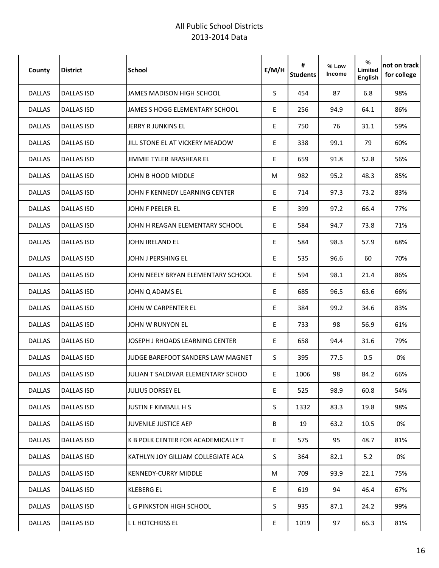| County        | <b>District</b>   | <b>School</b>                      | E/M/H | #<br><b>Students</b> | % Low<br>Income | %<br>Limited<br>English | not on track<br>for college |
|---------------|-------------------|------------------------------------|-------|----------------------|-----------------|-------------------------|-----------------------------|
| <b>DALLAS</b> | <b>DALLAS ISD</b> | JAMES MADISON HIGH SCHOOL          | S.    | 454                  | 87              | 6.8                     | 98%                         |
| <b>DALLAS</b> | <b>DALLAS ISD</b> | JAMES S HOGG ELEMENTARY SCHOOL     | E.    | 256                  | 94.9            | 64.1                    | 86%                         |
| <b>DALLAS</b> | <b>DALLAS ISD</b> | <b>JERRY R JUNKINS EL</b>          | E     | 750                  | 76              | 31.1                    | 59%                         |
| <b>DALLAS</b> | <b>DALLAS ISD</b> | JILL STONE EL AT VICKERY MEADOW    | E     | 338                  | 99.1            | 79                      | 60%                         |
| <b>DALLAS</b> | <b>DALLAS ISD</b> | <b>JIMMIE TYLER BRASHEAR EL</b>    | E     | 659                  | 91.8            | 52.8                    | 56%                         |
| <b>DALLAS</b> | DALLAS ISD        | JOHN B HOOD MIDDLE                 | М     | 982                  | 95.2            | 48.3                    | 85%                         |
| <b>DALLAS</b> | <b>DALLAS ISD</b> | JOHN F KENNEDY LEARNING CENTER     | E     | 714                  | 97.3            | 73.2                    | 83%                         |
| <b>DALLAS</b> | <b>DALLAS ISD</b> | JOHN F PEELER EL                   | E     | 399                  | 97.2            | 66.4                    | 77%                         |
| <b>DALLAS</b> | <b>DALLAS ISD</b> | JOHN H REAGAN ELEMENTARY SCHOOL    | E     | 584                  | 94.7            | 73.8                    | 71%                         |
| <b>DALLAS</b> | <b>DALLAS ISD</b> | JOHN IRELAND EL                    | E     | 584                  | 98.3            | 57.9                    | 68%                         |
| <b>DALLAS</b> | <b>DALLAS ISD</b> | JOHN J PERSHING EL                 | E     | 535                  | 96.6            | 60                      | 70%                         |
| <b>DALLAS</b> | <b>DALLAS ISD</b> | JOHN NEELY BRYAN ELEMENTARY SCHOOL | E     | 594                  | 98.1            | 21.4                    | 86%                         |
| <b>DALLAS</b> | <b>DALLAS ISD</b> | JOHN Q ADAMS EL                    | E     | 685                  | 96.5            | 63.6                    | 66%                         |
| <b>DALLAS</b> | <b>DALLAS ISD</b> | JOHN W CARPENTER EL                | E     | 384                  | 99.2            | 34.6                    | 83%                         |
| <b>DALLAS</b> | <b>DALLAS ISD</b> | JOHN W RUNYON EL                   | E     | 733                  | 98              | 56.9                    | 61%                         |
| <b>DALLAS</b> | <b>DALLAS ISD</b> | JOSEPH J RHOADS LEARNING CENTER    | E     | 658                  | 94.4            | 31.6                    | 79%                         |
| <b>DALLAS</b> | <b>DALLAS ISD</b> | JUDGE BAREFOOT SANDERS LAW MAGNET  | S     | 395                  | 77.5            | 0.5                     | 0%                          |
| <b>DALLAS</b> | <b>DALLAS ISD</b> | JULIAN T SALDIVAR ELEMENTARY SCHOO | E     | 1006                 | 98              | 84.2                    | 66%                         |
| <b>DALLAS</b> | <b>DALLAS ISD</b> | <b>JULIUS DORSEY EL</b>            | E     | 525                  | 98.9            | 60.8                    | 54%                         |
| <b>DALLAS</b> | <b>DALLAS ISD</b> | <b>JUSTIN F KIMBALL H S</b>        | S.    | 1332                 | 83.3            | 19.8                    | 98%                         |
| <b>DALLAS</b> | <b>DALLAS ISD</b> | <b>JUVENILE JUSTICE AEP</b>        | В     | 19                   | 63.2            | 10.5                    | 0%                          |
| <b>DALLAS</b> | <b>DALLAS ISD</b> | K B POLK CENTER FOR ACADEMICALLY T | E     | 575                  | 95              | 48.7                    | 81%                         |
| <b>DALLAS</b> | <b>DALLAS ISD</b> | KATHLYN JOY GILLIAM COLLEGIATE ACA | S.    | 364                  | 82.1            | 5.2                     | 0%                          |
| <b>DALLAS</b> | <b>DALLAS ISD</b> | <b>KENNEDY-CURRY MIDDLE</b>        | М     | 709                  | 93.9            | 22.1                    | 75%                         |
| <b>DALLAS</b> | DALLAS ISD        | <b>KLEBERG EL</b>                  | E     | 619                  | 94              | 46.4                    | 67%                         |
| <b>DALLAS</b> | <b>DALLAS ISD</b> | L G PINKSTON HIGH SCHOOL           | S.    | 935                  | 87.1            | 24.2                    | 99%                         |
| <b>DALLAS</b> | <b>DALLAS ISD</b> | L L HOTCHKISS EL                   | E     | 1019                 | 97              | 66.3                    | 81%                         |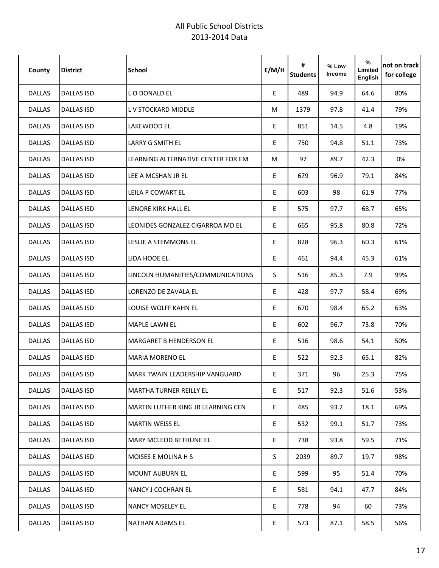| County        | <b>District</b>   | <b>School</b>                             | E/M/H | #<br><b>Students</b> | % Low<br><b>Income</b> | %<br>Limited<br>English | not on track<br>for college |
|---------------|-------------------|-------------------------------------------|-------|----------------------|------------------------|-------------------------|-----------------------------|
| <b>DALLAS</b> | <b>DALLAS ISD</b> | LO DONALD EL                              | E     | 489                  | 94.9                   | 64.6                    | 80%                         |
| <b>DALLAS</b> | <b>DALLAS ISD</b> | L V STOCKARD MIDDLE                       | М     | 1379                 | 97.8                   | 41.4                    | 79%                         |
| <b>DALLAS</b> | <b>DALLAS ISD</b> | LAKEWOOD EL                               | E     | 851                  | 14.5                   | 4.8                     | 19%                         |
| <b>DALLAS</b> | <b>DALLAS ISD</b> | <b>LARRY G SMITH EL</b>                   | E     | 750                  | 94.8                   | 51.1                    | 73%                         |
| <b>DALLAS</b> | <b>DALLAS ISD</b> | LEARNING ALTERNATIVE CENTER FOR EM        | М     | 97                   | 89.7                   | 42.3                    | 0%                          |
| <b>DALLAS</b> | <b>DALLAS ISD</b> | LEE A MCSHAN JR EL                        | E.    | 679                  | 96.9                   | 79.1                    | 84%                         |
| <b>DALLAS</b> | <b>DALLAS ISD</b> | LEILA P COWART EL                         | E     | 603                  | 98                     | 61.9                    | 77%                         |
| <b>DALLAS</b> | <b>DALLAS ISD</b> | LENORE KIRK HALL EL                       | E     | 575                  | 97.7                   | 68.7                    | 65%                         |
| <b>DALLAS</b> | <b>DALLAS ISD</b> | LEONIDES GONZALEZ CIGARROA MD EL          | E     | 665                  | 95.8                   | 80.8                    | 72%                         |
| DALLAS        | <b>DALLAS ISD</b> | LESLIE A STEMMONS EL                      | E     | 828                  | 96.3                   | 60.3                    | 61%                         |
| <b>DALLAS</b> | <b>DALLAS ISD</b> | LIDA HOOE EL                              | E     | 461                  | 94.4                   | 45.3                    | 61%                         |
| <b>DALLAS</b> | <b>DALLAS ISD</b> | LINCOLN HUMANITIES/COMMUNICATIONS         | S.    | 516                  | 85.3                   | 7.9                     | 99%                         |
| <b>DALLAS</b> | <b>DALLAS ISD</b> | LORENZO DE ZAVALA EL                      | E     | 428                  | 97.7                   | 58.4                    | 69%                         |
| <b>DALLAS</b> | <b>DALLAS ISD</b> | LOUISE WOLFF KAHN EL                      | E     | 670                  | 98.4                   | 65.2                    | 63%                         |
| <b>DALLAS</b> | <b>DALLAS ISD</b> | <b>MAPLE LAWN EL</b>                      | E     | 602                  | 96.7                   | 73.8                    | 70%                         |
| <b>DALLAS</b> | <b>DALLAS ISD</b> | <b>MARGARET B HENDERSON EL</b>            | E     | 516                  | 98.6                   | 54.1                    | 50%                         |
| <b>DALLAS</b> | <b>DALLAS ISD</b> | <b>MARIA MORENO EL</b>                    | E     | 522                  | 92.3                   | 65.1                    | 82%                         |
| <b>DALLAS</b> | <b>DALLAS ISD</b> | <b>MARK TWAIN LEADERSHIP VANGUARD</b>     | E     | 371                  | 96                     | 25.3                    | 75%                         |
| DALLAS        | <b>DALLAS ISD</b> | <b>MARTHA TURNER REILLY EL</b>            | E     | 517                  | 92.3                   | 51.6                    | 53%                         |
| <b>DALLAS</b> | <b>DALLAS ISD</b> | <b>MARTIN LUTHER KING JR LEARNING CEN</b> | E     | 485                  | 93.2                   | 18.1                    | 69%                         |
| <b>DALLAS</b> | <b>DALLAS ISD</b> | <b>MARTIN WEISS EL</b>                    | E     | 532                  | 99.1                   | 51.7                    | 73%                         |
| <b>DALLAS</b> | <b>DALLAS ISD</b> | <b>MARY MCLEOD BETHUNE EL</b>             | E     | 738                  | 93.8                   | 59.5                    | 71%                         |
| <b>DALLAS</b> | <b>DALLAS ISD</b> | <b>MOISES E MOLINA H S</b>                | S.    | 2039                 | 89.7                   | 19.7                    | 98%                         |
| <b>DALLAS</b> | <b>DALLAS ISD</b> | <b>MOUNT AUBURN EL</b>                    | E     | 599                  | 95                     | 51.4                    | 70%                         |
| <b>DALLAS</b> | DALLAS ISD        | NANCY J COCHRAN EL                        | E     | 581                  | 94.1                   | 47.7                    | 84%                         |
| <b>DALLAS</b> | <b>DALLAS ISD</b> | <b>NANCY MOSELEY EL</b>                   | E.    | 778                  | 94                     | 60                      | 73%                         |
| <b>DALLAS</b> | <b>DALLAS ISD</b> | NATHAN ADAMS EL                           | E     | 573                  | 87.1                   | 58.5                    | 56%                         |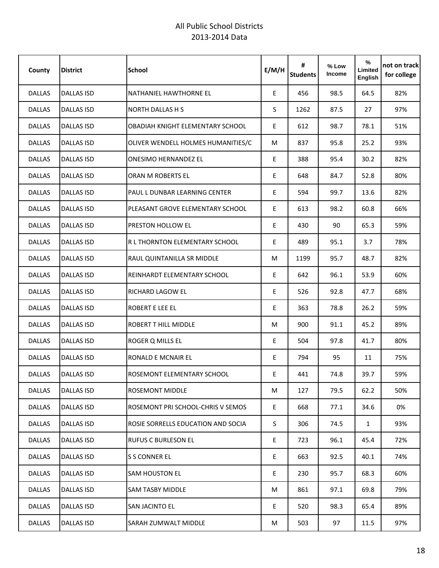| County        | <b>District</b>   | <b>School</b>                      | E/M/H | #<br><b>Students</b> | % Low<br><b>Income</b> | %<br>Limited<br>English | not on track<br>for college |
|---------------|-------------------|------------------------------------|-------|----------------------|------------------------|-------------------------|-----------------------------|
| <b>DALLAS</b> | <b>DALLAS ISD</b> | NATHANIEL HAWTHORNE EL             | E     | 456                  | 98.5                   | 64.5                    | 82%                         |
| <b>DALLAS</b> | <b>DALLAS ISD</b> | <b>NORTH DALLAS H S</b>            | S     | 1262                 | 87.5                   | 27                      | 97%                         |
| <b>DALLAS</b> | <b>DALLAS ISD</b> | OBADIAH KNIGHT ELEMENTARY SCHOOL   | E     | 612                  | 98.7                   | 78.1                    | 51%                         |
| <b>DALLAS</b> | <b>DALLAS ISD</b> | OLIVER WENDELL HOLMES HUMANITIES/C | M     | 837                  | 95.8                   | 25.2                    | 93%                         |
| <b>DALLAS</b> | <b>DALLAS ISD</b> | <b>ONESIMO HERNANDEZ EL</b>        | E     | 388                  | 95.4                   | 30.2                    | 82%                         |
| <b>DALLAS</b> | <b>DALLAS ISD</b> | ORAN M ROBERTS EL                  | E     | 648                  | 84.7                   | 52.8                    | 80%                         |
| <b>DALLAS</b> | <b>DALLAS ISD</b> | PAUL L DUNBAR LEARNING CENTER      | E.    | 594                  | 99.7                   | 13.6                    | 82%                         |
| DALLAS        | <b>DALLAS ISD</b> | PLEASANT GROVE ELEMENTARY SCHOOL   | E     | 613                  | 98.2                   | 60.8                    | 66%                         |
| <b>DALLAS</b> | <b>DALLAS ISD</b> | <b>PRESTON HOLLOW EL</b>           | E     | 430                  | 90                     | 65.3                    | 59%                         |
| <b>DALLAS</b> | <b>DALLAS ISD</b> | R L THORNTON ELEMENTARY SCHOOL     | E     | 489                  | 95.1                   | 3.7                     | 78%                         |
| <b>DALLAS</b> | <b>DALLAS ISD</b> | RAUL QUINTANILLA SR MIDDLE         | М     | 1199                 | 95.7                   | 48.7                    | 82%                         |
| <b>DALLAS</b> | <b>DALLAS ISD</b> | REINHARDT ELEMENTARY SCHOOL        | E     | 642                  | 96.1                   | 53.9                    | 60%                         |
| <b>DALLAS</b> | <b>DALLAS ISD</b> | RICHARD LAGOW EL                   | E     | 526                  | 92.8                   | 47.7                    | 68%                         |
| <b>DALLAS</b> | <b>DALLAS ISD</b> | ROBERT E LEE EL                    | E.    | 363                  | 78.8                   | 26.2                    | 59%                         |
| <b>DALLAS</b> | <b>DALLAS ISD</b> | <b>ROBERT T HILL MIDDLE</b>        | М     | 900                  | 91.1                   | 45.2                    | 89%                         |
| <b>DALLAS</b> | <b>DALLAS ISD</b> | ROGER Q MILLS EL                   | E     | 504                  | 97.8                   | 41.7                    | 80%                         |
| <b>DALLAS</b> | <b>DALLAS ISD</b> | <b>RONALD E MCNAIR EL</b>          | E     | 794                  | 95                     | 11                      | 75%                         |
| <b>DALLAS</b> | <b>DALLAS ISD</b> | ROSEMONT ELEMENTARY SCHOOL         | E     | 441                  | 74.8                   | 39.7                    | 59%                         |
| <b>DALLAS</b> | <b>DALLAS ISD</b> | ROSEMONT MIDDLE                    | M     | 127                  | 79.5                   | 62.2                    | 50%                         |
| <b>DALLAS</b> | <b>DALLAS ISD</b> | ROSEMONT PRI SCHOOL-CHRIS V SEMOS  | E     | 668                  | 77.1                   | 34.6                    | 0%                          |
| <b>DALLAS</b> | <b>DALLAS ISD</b> | ROSIE SORRELLS EDUCATION AND SOCIA | S.    | 306                  | 74.5                   | $\mathbf{1}$            | 93%                         |
| <b>DALLAS</b> | <b>DALLAS ISD</b> | <b>RUFUS C BURLESON EL</b>         | E     | 723                  | 96.1                   | 45.4                    | 72%                         |
| <b>DALLAS</b> | <b>DALLAS ISD</b> | S S CONNER EL                      | E     | 663                  | 92.5                   | 40.1                    | 74%                         |
| <b>DALLAS</b> | <b>DALLAS ISD</b> | <b>SAM HOUSTON EL</b>              | E     | 230                  | 95.7                   | 68.3                    | 60%                         |
| <b>DALLAS</b> | <b>DALLAS ISD</b> | <b>SAM TASBY MIDDLE</b>            | M     | 861                  | 97.1                   | 69.8                    | 79%                         |
| <b>DALLAS</b> | <b>DALLAS ISD</b> | <b>SAN JACINTO EL</b>              | E.    | 520                  | 98.3                   | 65.4                    | 89%                         |
| <b>DALLAS</b> | <b>DALLAS ISD</b> | <b>SARAH ZUMWALT MIDDLE</b>        | M     | 503                  | 97                     | 11.5                    | 97%                         |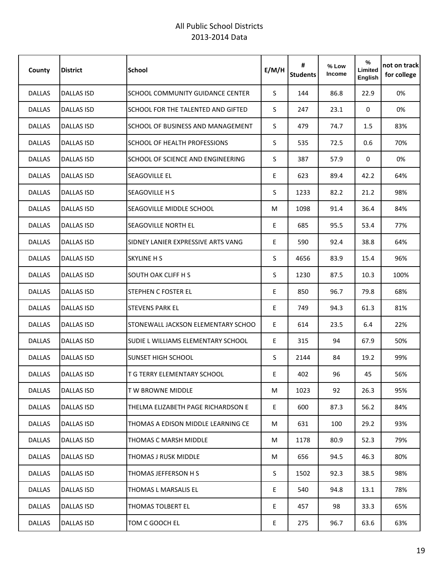| County        | <b>District</b>   | <b>School</b>                           | E/M/H | #<br><b>Students</b> | % Low<br><b>Income</b> | %<br>Limited<br>English | not on track<br>for college |
|---------------|-------------------|-----------------------------------------|-------|----------------------|------------------------|-------------------------|-----------------------------|
| <b>DALLAS</b> | DALLAS ISD        | <b>SCHOOL COMMUNITY GUIDANCE CENTER</b> | S.    | 144                  | 86.8                   | 22.9                    | 0%                          |
| <b>DALLAS</b> | <b>DALLAS ISD</b> | SCHOOL FOR THE TALENTED AND GIFTED      | S     | 247                  | 23.1                   | $\mathbf 0$             | 0%                          |
| <b>DALLAS</b> | <b>DALLAS ISD</b> | SCHOOL OF BUSINESS AND MANAGEMENT       | S     | 479                  | 74.7                   | 1.5                     | 83%                         |
| <b>DALLAS</b> | <b>DALLAS ISD</b> | SCHOOL OF HEALTH PROFESSIONS            | S     | 535                  | 72.5                   | 0.6                     | 70%                         |
| <b>DALLAS</b> | <b>DALLAS ISD</b> | SCHOOL OF SCIENCE AND ENGINEERING       | S     | 387                  | 57.9                   | $\mathbf 0$             | 0%                          |
| <b>DALLAS</b> | DALLAS ISD        | SEAGOVILLE EL                           | E     | 623                  | 89.4                   | 42.2                    | 64%                         |
| <b>DALLAS</b> | <b>DALLAS ISD</b> | SEAGOVILLE H S                          | S.    | 1233                 | 82.2                   | 21.2                    | 98%                         |
| <b>DALLAS</b> | <b>DALLAS ISD</b> | SEAGOVILLE MIDDLE SCHOOL                | M     | 1098                 | 91.4                   | 36.4                    | 84%                         |
| <b>DALLAS</b> | <b>DALLAS ISD</b> | SEAGOVILLE NORTH EL                     | E     | 685                  | 95.5                   | 53.4                    | 77%                         |
| <b>DALLAS</b> | <b>DALLAS ISD</b> | SIDNEY LANIER EXPRESSIVE ARTS VANG      | E     | 590                  | 92.4                   | 38.8                    | 64%                         |
| <b>DALLAS</b> | <b>DALLAS ISD</b> | <b>SKYLINE H S</b>                      | S     | 4656                 | 83.9                   | 15.4                    | 96%                         |
| <b>DALLAS</b> | DALLAS ISD        | <b>SOUTH OAK CLIFF H S</b>              | S     | 1230                 | 87.5                   | 10.3                    | 100%                        |
| <b>DALLAS</b> | <b>DALLAS ISD</b> | <b>STEPHEN C FOSTER EL</b>              | E     | 850                  | 96.7                   | 79.8                    | 68%                         |
| <b>DALLAS</b> | <b>DALLAS ISD</b> | <b>STEVENS PARK EL</b>                  | E     | 749                  | 94.3                   | 61.3                    | 81%                         |
| <b>DALLAS</b> | <b>DALLAS ISD</b> | STONEWALL JACKSON ELEMENTARY SCHOO      | E     | 614                  | 23.5                   | 6.4                     | 22%                         |
| <b>DALLAS</b> | <b>DALLAS ISD</b> | SUDIE L WILLIAMS ELEMENTARY SCHOOL      | E     | 315                  | 94                     | 67.9                    | 50%                         |
| <b>DALLAS</b> | <b>DALLAS ISD</b> | <b>SUNSET HIGH SCHOOL</b>               | S     | 2144                 | 84                     | 19.2                    | 99%                         |
| <b>DALLAS</b> | <b>DALLAS ISD</b> | <b>T G TERRY ELEMENTARY SCHOOL</b>      | E     | 402                  | 96                     | 45                      | 56%                         |
| DALLAS        | <b>DALLAS ISD</b> | T W BROWNE MIDDLE                       | M     | 1023                 | 92                     | 26.3                    | 95%                         |
| DALLAS        | DALLAS ISD        | THELMA ELIZABETH PAGE RICHARDSON E      | E.    | 600                  | 87.3                   | 56.2                    | 84%                         |
| <b>DALLAS</b> | DALLAS ISD        | THOMAS A EDISON MIDDLE LEARNING CE      | M     | 631                  | 100                    | 29.2                    | 93%                         |
| <b>DALLAS</b> | DALLAS ISD        | THOMAS C MARSH MIDDLE                   | M     | 1178                 | 80.9                   | 52.3                    | 79%                         |
| <b>DALLAS</b> | <b>DALLAS ISD</b> | <b>THOMAS J RUSK MIDDLE</b>             | M     | 656                  | 94.5                   | 46.3                    | 80%                         |
| <b>DALLAS</b> | <b>DALLAS ISD</b> | THOMAS JEFFERSON H S                    | S     | 1502                 | 92.3                   | 38.5                    | 98%                         |
| <b>DALLAS</b> | <b>DALLAS ISD</b> | THOMAS L MARSALIS EL                    | E     | 540                  | 94.8                   | 13.1                    | 78%                         |
| <b>DALLAS</b> | <b>DALLAS ISD</b> | <b>THOMAS TOLBERT EL</b>                | E.    | 457                  | 98                     | 33.3                    | 65%                         |
| DALLAS        | <b>DALLAS ISD</b> | TOM C GOOCH EL                          | E     | 275                  | 96.7                   | 63.6                    | 63%                         |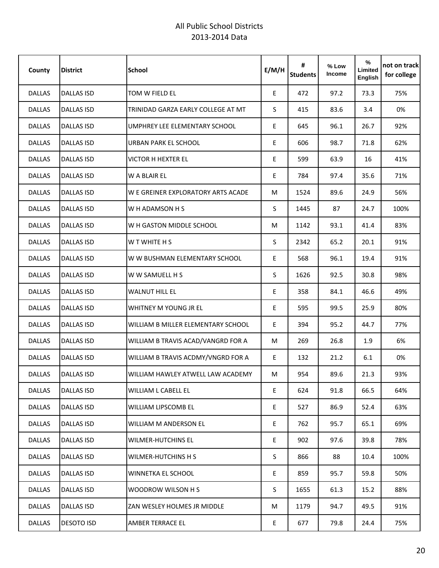| County        | <b>District</b>   | <b>School</b>                      | E/M/H | #<br><b>Students</b> | $%$ Low<br>Income | %<br>Limited<br>English | not on track<br>for college |
|---------------|-------------------|------------------------------------|-------|----------------------|-------------------|-------------------------|-----------------------------|
| <b>DALLAS</b> | <b>DALLAS ISD</b> | TOM W FIELD EL                     | E     | 472                  | 97.2              | 73.3                    | 75%                         |
| <b>DALLAS</b> | <b>DALLAS ISD</b> | TRINIDAD GARZA EARLY COLLEGE AT MT | S     | 415                  | 83.6              | 3.4                     | 0%                          |
| <b>DALLAS</b> | <b>DALLAS ISD</b> | UMPHREY LEE ELEMENTARY SCHOOL      | E     | 645                  | 96.1              | 26.7                    | 92%                         |
| <b>DALLAS</b> | <b>DALLAS ISD</b> | URBAN PARK EL SCHOOL               | E     | 606                  | 98.7              | 71.8                    | 62%                         |
| <b>DALLAS</b> | <b>DALLAS ISD</b> | <b>VICTOR H HEXTER EL</b>          | E     | 599                  | 63.9              | 16                      | 41%                         |
| <b>DALLAS</b> | <b>DALLAS ISD</b> | W A BLAIR EL                       | E     | 784                  | 97.4              | 35.6                    | 71%                         |
| <b>DALLAS</b> | <b>DALLAS ISD</b> | W E GREINER EXPLORATORY ARTS ACADE | M     | 1524                 | 89.6              | 24.9                    | 56%                         |
| <b>DALLAS</b> | <b>DALLAS ISD</b> | W H ADAMSON H S                    | S     | 1445                 | 87                | 24.7                    | 100%                        |
| DALLAS        | <b>DALLAS ISD</b> | W H GASTON MIDDLE SCHOOL           | M     | 1142                 | 93.1              | 41.4                    | 83%                         |
| DALLAS        | <b>DALLAS ISD</b> | W T WHITE H S                      | S     | 2342                 | 65.2              | 20.1                    | 91%                         |
| <b>DALLAS</b> | <b>DALLAS ISD</b> | W W BUSHMAN ELEMENTARY SCHOOL      | E     | 568                  | 96.1              | 19.4                    | 91%                         |
| <b>DALLAS</b> | <b>DALLAS ISD</b> | W W SAMUELL H S                    | S     | 1626                 | 92.5              | 30.8                    | 98%                         |
| <b>DALLAS</b> | <b>DALLAS ISD</b> | <b>WALNUT HILL EL</b>              | E     | 358                  | 84.1              | 46.6                    | 49%                         |
| <b>DALLAS</b> | <b>DALLAS ISD</b> | WHITNEY M YOUNG JR EL              | E     | 595                  | 99.5              | 25.9                    | 80%                         |
| DALLAS        | <b>DALLAS ISD</b> | WILLIAM B MILLER ELEMENTARY SCHOOL | E     | 394                  | 95.2              | 44.7                    | 77%                         |
| <b>DALLAS</b> | <b>DALLAS ISD</b> | WILLIAM B TRAVIS ACAD/VANGRD FOR A | М     | 269                  | 26.8              | 1.9                     | 6%                          |
| <b>DALLAS</b> | <b>DALLAS ISD</b> | WILLIAM B TRAVIS ACDMY/VNGRD FOR A | E     | 132                  | 21.2              | 6.1                     | 0%                          |
| <b>DALLAS</b> | <b>DALLAS ISD</b> | WILLIAM HAWLEY ATWELL LAW ACADEMY  | M     | 954                  | 89.6              | 21.3                    | 93%                         |
| <b>DALLAS</b> | <b>DALLAS ISD</b> | WILLIAM L CABELL EL                | E     | 624                  | 91.8              | 66.5                    | 64%                         |
| <b>DALLAS</b> | <b>DALLAS ISD</b> | <b>WILLIAM LIPSCOMB EL</b>         | E     | 527                  | 86.9              | 52.4                    | 63%                         |
| <b>DALLAS</b> | <b>DALLAS ISD</b> | WILLIAM M ANDERSON EL              | E     | 762                  | 95.7              | 65.1                    | 69%                         |
| <b>DALLAS</b> | <b>DALLAS ISD</b> | <b>WILMER-HUTCHINS EL</b>          | E     | 902                  | 97.6              | 39.8                    | 78%                         |
| <b>DALLAS</b> | <b>DALLAS ISD</b> | WILMER-HUTCHINS H S                | S.    | 866                  | 88                | 10.4                    | 100%                        |
| <b>DALLAS</b> | <b>DALLAS ISD</b> | WINNETKA EL SCHOOL                 | E     | 859                  | 95.7              | 59.8                    | 50%                         |
| <b>DALLAS</b> | DALLAS ISD        | WOODROW WILSON H S                 | S.    | 1655                 | 61.3              | 15.2                    | 88%                         |
| <b>DALLAS</b> | <b>DALLAS ISD</b> | ZAN WESLEY HOLMES JR MIDDLE        | М     | 1179                 | 94.7              | 49.5                    | 91%                         |
| <b>DALLAS</b> | <b>DESOTO ISD</b> | AMBER TERRACE EL                   | E     | 677                  | 79.8              | 24.4                    | 75%                         |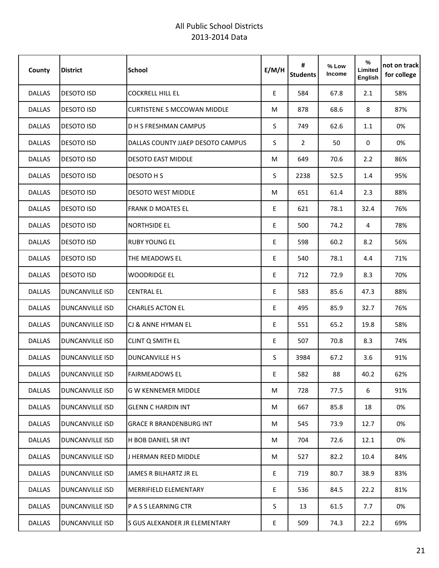| County        | <b>District</b>        | <b>School</b>                      | E/M/H | #<br><b>Students</b> | % Low<br>Income | %<br>Limited<br>English | not on track<br>for college |
|---------------|------------------------|------------------------------------|-------|----------------------|-----------------|-------------------------|-----------------------------|
| <b>DALLAS</b> | <b>DESOTO ISD</b>      | <b>COCKRELL HILL EL</b>            | E.    | 584                  | 67.8            | 2.1                     | 58%                         |
| <b>DALLAS</b> | <b>DESOTO ISD</b>      | <b>CURTISTENE S MCCOWAN MIDDLE</b> | М     | 878                  | 68.6            | 8                       | 87%                         |
| <b>DALLAS</b> | <b>DESOTO ISD</b>      | <b>D H S FRESHMAN CAMPUS</b>       | S     | 749                  | 62.6            | 1.1                     | 0%                          |
| <b>DALLAS</b> | <b>DESOTO ISD</b>      | DALLAS COUNTY JJAEP DESOTO CAMPUS  | S     | $\overline{2}$       | 50              | 0                       | 0%                          |
| <b>DALLAS</b> | <b>DESOTO ISD</b>      | <b>DESOTO EAST MIDDLE</b>          | М     | 649                  | 70.6            | 2.2                     | 86%                         |
| <b>DALLAS</b> | <b>DESOTO ISD</b>      | DESOTO H S                         | S     | 2238                 | 52.5            | 1.4                     | 95%                         |
| <b>DALLAS</b> | <b>DESOTO ISD</b>      | <b>DESOTO WEST MIDDLE</b>          | M     | 651                  | 61.4            | 2.3                     | 88%                         |
| <b>DALLAS</b> | <b>DESOTO ISD</b>      | <b>FRANK D MOATES EL</b>           | E     | 621                  | 78.1            | 32.4                    | 76%                         |
| <b>DALLAS</b> | <b>DESOTO ISD</b>      | <b>NORTHSIDE EL</b>                | E     | 500                  | 74.2            | 4                       | 78%                         |
| DALLAS        | <b>DESOTO ISD</b>      | <b>RUBY YOUNG EL</b>               | E     | 598                  | 60.2            | 8.2                     | 56%                         |
| <b>DALLAS</b> | <b>DESOTO ISD</b>      | THE MEADOWS EL                     | E     | 540                  | 78.1            | 4.4                     | 71%                         |
| <b>DALLAS</b> | <b>DESOTO ISD</b>      | <b>WOODRIDGE EL</b>                | E     | 712                  | 72.9            | 8.3                     | 70%                         |
| <b>DALLAS</b> | <b>DUNCANVILLE ISD</b> | <b>CENTRAL EL</b>                  | E     | 583                  | 85.6            | 47.3                    | 88%                         |
| <b>DALLAS</b> | <b>DUNCANVILLE ISD</b> | <b>CHARLES ACTON EL</b>            | E     | 495                  | 85.9            | 32.7                    | 76%                         |
| <b>DALLAS</b> | <b>DUNCANVILLE ISD</b> | CJ & ANNE HYMAN EL                 | E     | 551                  | 65.2            | 19.8                    | 58%                         |
| <b>DALLAS</b> | <b>DUNCANVILLE ISD</b> | <b>CLINT Q SMITH EL</b>            | E     | 507                  | 70.8            | 8.3                     | 74%                         |
| <b>DALLAS</b> | DUNCANVILLE ISD        | DUNCANVILLE H S                    | S     | 3984                 | 67.2            | 3.6                     | 91%                         |
| <b>DALLAS</b> | <b>DUNCANVILLE ISD</b> | <b>FAIRMEADOWS EL</b>              | E     | 582                  | 88              | 40.2                    | 62%                         |
| <b>DALLAS</b> | <b>DUNCANVILLE ISD</b> | <b>G W KENNEMER MIDDLE</b>         | М     | 728                  | 77.5            | 6                       | 91%                         |
| <b>DALLAS</b> | DUNCANVILLE ISD        | <b>GLENN C HARDIN INT</b>          | M     | 667                  | 85.8            | 18                      | 0%                          |
| DALLAS        | <b>DUNCANVILLE ISD</b> | <b>GRACE R BRANDENBURG INT</b>     | M     | 545                  | 73.9            | 12.7                    | 0%                          |
| <b>DALLAS</b> | <b>DUNCANVILLE ISD</b> | H BOB DANIEL SR INT                | М     | 704                  | 72.6            | 12.1                    | 0%                          |
| <b>DALLAS</b> | DUNCANVILLE ISD        | J HERMAN REED MIDDLE               | M     | 527                  | 82.2            | 10.4                    | 84%                         |
| <b>DALLAS</b> | <b>DUNCANVILLE ISD</b> | JAMES R BILHARTZ JR EL             | E     | 719                  | 80.7            | 38.9                    | 83%                         |
| <b>DALLAS</b> | <b>DUNCANVILLE ISD</b> | <b>MERRIFIELD ELEMENTARY</b>       | E     | 536                  | 84.5            | 22.2                    | 81%                         |
| <b>DALLAS</b> | <b>DUNCANVILLE ISD</b> | P A S S LEARNING CTR               | S.    | 13                   | 61.5            | 7.7                     | 0%                          |
| <b>DALLAS</b> | <b>DUNCANVILLE ISD</b> | S GUS ALEXANDER JR ELEMENTARY      | E     | 509                  | 74.3            | 22.2                    | 69%                         |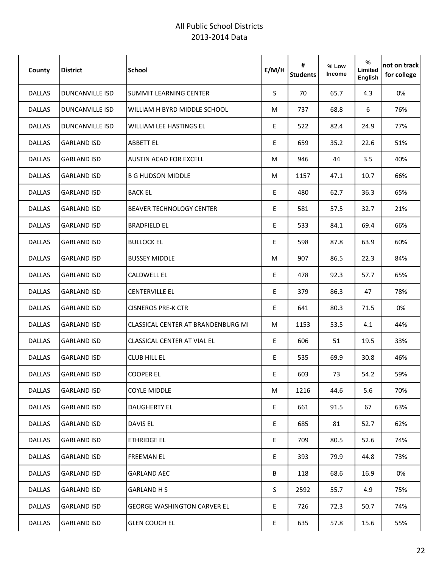| County        | <b>District</b>        | <b>School</b>                      | E/M/H | #<br><b>Students</b> | % Low<br>Income | %<br>Limited<br>English | not on track<br>for college |
|---------------|------------------------|------------------------------------|-------|----------------------|-----------------|-------------------------|-----------------------------|
| <b>DALLAS</b> | <b>DUNCANVILLE ISD</b> | <b>SUMMIT LEARNING CENTER</b>      | S.    | 70                   | 65.7            | 4.3                     | 0%                          |
| <b>DALLAS</b> | <b>DUNCANVILLE ISD</b> | WILLIAM H BYRD MIDDLE SCHOOL       | M     | 737                  | 68.8            | 6                       | 76%                         |
| <b>DALLAS</b> | <b>DUNCANVILLE ISD</b> | WILLIAM LEE HASTINGS EL            | E     | 522                  | 82.4            | 24.9                    | 77%                         |
| <b>DALLAS</b> | <b>GARLAND ISD</b>     | <b>ABBETT EL</b>                   | E     | 659                  | 35.2            | 22.6                    | 51%                         |
| <b>DALLAS</b> | <b>GARLAND ISD</b>     | AUSTIN ACAD FOR EXCELL             | M     | 946                  | 44              | 3.5                     | 40%                         |
| <b>DALLAS</b> | <b>GARLAND ISD</b>     | <b>B G HUDSON MIDDLE</b>           | M     | 1157                 | 47.1            | 10.7                    | 66%                         |
| <b>DALLAS</b> | <b>GARLAND ISD</b>     | <b>BACK EL</b>                     | E     | 480                  | 62.7            | 36.3                    | 65%                         |
| <b>DALLAS</b> | <b>GARLAND ISD</b>     | <b>BEAVER TECHNOLOGY CENTER</b>    | E     | 581                  | 57.5            | 32.7                    | 21%                         |
| <b>DALLAS</b> | <b>GARLAND ISD</b>     | <b>BRADFIELD EL</b>                | E     | 533                  | 84.1            | 69.4                    | 66%                         |
| <b>DALLAS</b> | <b>GARLAND ISD</b>     | <b>BULLOCK EL</b>                  | E     | 598                  | 87.8            | 63.9                    | 60%                         |
| <b>DALLAS</b> | <b>GARLAND ISD</b>     | <b>BUSSEY MIDDLE</b>               | M     | 907                  | 86.5            | 22.3                    | 84%                         |
| <b>DALLAS</b> | <b>GARLAND ISD</b>     | <b>CALDWELL EL</b>                 | E     | 478                  | 92.3            | 57.7                    | 65%                         |
| <b>DALLAS</b> | <b>GARLAND ISD</b>     | <b>CENTERVILLE EL</b>              | E     | 379                  | 86.3            | 47                      | 78%                         |
| <b>DALLAS</b> | <b>GARLAND ISD</b>     | <b>CISNEROS PRE-K CTR</b>          | E     | 641                  | 80.3            | 71.5                    | 0%                          |
| <b>DALLAS</b> | <b>GARLAND ISD</b>     | CLASSICAL CENTER AT BRANDENBURG MI | M     | 1153                 | 53.5            | 4.1                     | 44%                         |
| <b>DALLAS</b> | <b>GARLAND ISD</b>     | CLASSICAL CENTER AT VIAL EL        | E     | 606                  | 51              | 19.5                    | 33%                         |
| <b>DALLAS</b> | <b>GARLAND ISD</b>     | <b>CLUB HILL EL</b>                | E     | 535                  | 69.9            | 30.8                    | 46%                         |
| <b>DALLAS</b> | <b>GARLAND ISD</b>     | <b>COOPER EL</b>                   | E     | 603                  | 73              | 54.2                    | 59%                         |
| DALLAS        | <b>GARLAND ISD</b>     | <b>COYLE MIDDLE</b>                | M     | 1216                 | 44.6            | 5.6                     | 70%                         |
| <b>DALLAS</b> | <b>GARLAND ISD</b>     | <b>DAUGHERTY EL</b>                | E.    | 661                  | 91.5            | 67                      | 63%                         |
| DALLAS        | <b>GARLAND ISD</b>     | DAVIS EL                           | E     | 685                  | 81              | 52.7                    | 62%                         |
| <b>DALLAS</b> | <b>GARLAND ISD</b>     | <b>ETHRIDGE EL</b>                 | E     | 709                  | 80.5            | 52.6                    | 74%                         |
| DALLAS        | <b>GARLAND ISD</b>     | <b>FREEMAN EL</b>                  | E     | 393                  | 79.9            | 44.8                    | 73%                         |
| <b>DALLAS</b> | <b>GARLAND ISD</b>     | <b>GARLAND AEC</b>                 | B     | 118                  | 68.6            | 16.9                    | 0%                          |
| <b>DALLAS</b> | <b>GARLAND ISD</b>     | GARLAND H S                        | S.    | 2592                 | 55.7            | 4.9                     | 75%                         |
| <b>DALLAS</b> | <b>GARLAND ISD</b>     | GEORGE WASHINGTON CARVER EL        | E.    | 726                  | 72.3            | 50.7                    | 74%                         |
| DALLAS        | <b>GARLAND ISD</b>     | <b>GLEN COUCH EL</b>               | E     | 635                  | 57.8            | 15.6                    | 55%                         |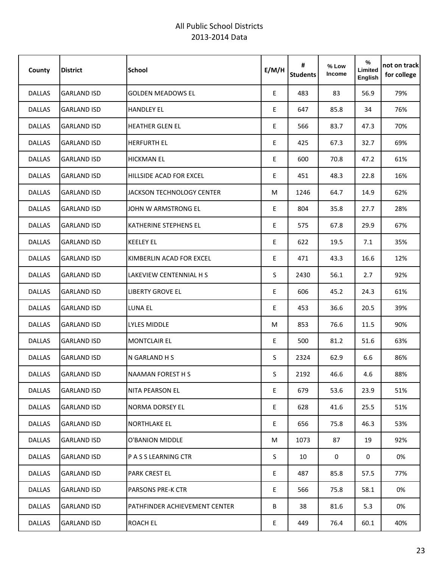| County        | <b>District</b>    | <b>School</b>                    | E/M/H | #<br><b>Students</b> | % Low<br>Income | %<br>Limited<br>English | not on track<br>for college |
|---------------|--------------------|----------------------------------|-------|----------------------|-----------------|-------------------------|-----------------------------|
| <b>DALLAS</b> | <b>GARLAND ISD</b> | <b>GOLDEN MEADOWS EL</b>         | E     | 483                  | 83              | 56.9                    | 79%                         |
| <b>DALLAS</b> | <b>GARLAND ISD</b> | <b>HANDLEY EL</b>                | E.    | 647                  | 85.8            | 34                      | 76%                         |
| <b>DALLAS</b> | <b>GARLAND ISD</b> | <b>HEATHER GLEN EL</b>           | E     | 566                  | 83.7            | 47.3                    | 70%                         |
| <b>DALLAS</b> | <b>GARLAND ISD</b> | <b>HERFURTH EL</b>               | E     | 425                  | 67.3            | 32.7                    | 69%                         |
| <b>DALLAS</b> | <b>GARLAND ISD</b> | <b>HICKMAN EL</b>                | E     | 600                  | 70.8            | 47.2                    | 61%                         |
| <b>DALLAS</b> | <b>GARLAND ISD</b> | HILLSIDE ACAD FOR EXCEL          | E     | 451                  | 48.3            | 22.8                    | 16%                         |
| <b>DALLAS</b> | <b>GARLAND ISD</b> | <b>JACKSON TECHNOLOGY CENTER</b> | M     | 1246                 | 64.7            | 14.9                    | 62%                         |
| <b>DALLAS</b> | <b>GARLAND ISD</b> | JOHN W ARMSTRONG EL              | E     | 804                  | 35.8            | 27.7                    | 28%                         |
| <b>DALLAS</b> | <b>GARLAND ISD</b> | <b>KATHERINE STEPHENS EL</b>     | E     | 575                  | 67.8            | 29.9                    | 67%                         |
| <b>DALLAS</b> | <b>GARLAND ISD</b> | <b>KEELEY EL</b>                 | E     | 622                  | 19.5            | 7.1                     | 35%                         |
| <b>DALLAS</b> | <b>GARLAND ISD</b> | KIMBERLIN ACAD FOR EXCEL         | E     | 471                  | 43.3            | 16.6                    | 12%                         |
| <b>DALLAS</b> | <b>GARLAND ISD</b> | LAKEVIEW CENTENNIAL H S          | S.    | 2430                 | 56.1            | 2.7                     | 92%                         |
| <b>DALLAS</b> | <b>GARLAND ISD</b> | <b>LIBERTY GROVE EL</b>          | E     | 606                  | 45.2            | 24.3                    | 61%                         |
| <b>DALLAS</b> | <b>GARLAND ISD</b> | LUNA EL                          | E     | 453                  | 36.6            | 20.5                    | 39%                         |
| <b>DALLAS</b> | <b>GARLAND ISD</b> | LYLES MIDDLE                     | M     | 853                  | 76.6            | 11.5                    | 90%                         |
| <b>DALLAS</b> | <b>GARLAND ISD</b> | <b>MONTCLAIR EL</b>              | E     | 500                  | 81.2            | 51.6                    | 63%                         |
| <b>DALLAS</b> | <b>GARLAND ISD</b> | N GARLAND H S                    | S     | 2324                 | 62.9            | 6.6                     | 86%                         |
| <b>DALLAS</b> | <b>GARLAND ISD</b> | <b>NAAMAN FOREST H S</b>         | S     | 2192                 | 46.6            | 4.6                     | 88%                         |
| DALLAS        | <b>GARLAND ISD</b> | <b>NITA PEARSON EL</b>           | E     | 679                  | 53.6            | 23.9                    | 51%                         |
| DALLAS        | <b>GARLAND ISD</b> | NORMA DORSEY EL                  | E.    | 628                  | 41.6            | 25.5                    | 51%                         |
| DALLAS        | <b>GARLAND ISD</b> | <b>NORTHLAKE EL</b>              | E     | 656                  | 75.8            | 46.3                    | 53%                         |
| <b>DALLAS</b> | <b>GARLAND ISD</b> | O'BANION MIDDLE                  | M     | 1073                 | 87              | 19                      | 92%                         |
| DALLAS        | <b>GARLAND ISD</b> | P A S S LEARNING CTR             | S.    | 10                   | 0               | 0                       | 0%                          |
| <b>DALLAS</b> | <b>GARLAND ISD</b> | <b>PARK CREST EL</b>             | E     | 487                  | 85.8            | 57.5                    | 77%                         |
| <b>DALLAS</b> | <b>GARLAND ISD</b> | <b>PARSONS PRE-K CTR</b>         | E     | 566                  | 75.8            | 58.1                    | 0%                          |
| <b>DALLAS</b> | <b>GARLAND ISD</b> | PATHFINDER ACHIEVEMENT CENTER    | B     | 38                   | 81.6            | 5.3                     | 0%                          |
| DALLAS        | <b>GARLAND ISD</b> | ROACH EL                         | E     | 449                  | 76.4            | 60.1                    | 40%                         |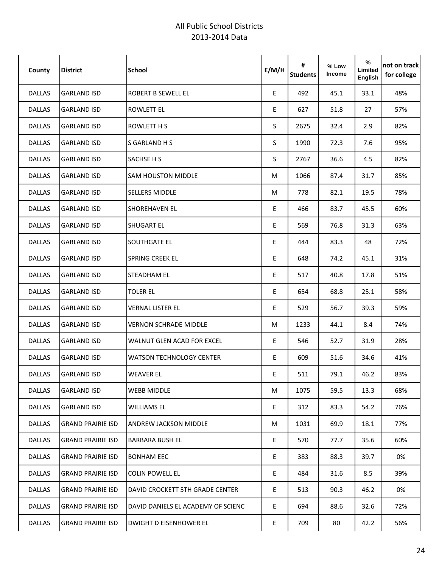| County        | <b>District</b>          | <b>School</b>                      | E/M/H | #<br><b>Students</b> | % Low<br>Income | %<br>Limited<br>English | not on track<br>for college |
|---------------|--------------------------|------------------------------------|-------|----------------------|-----------------|-------------------------|-----------------------------|
| <b>DALLAS</b> | <b>GARLAND ISD</b>       | <b>ROBERT B SEWELL EL</b>          | E     | 492                  | 45.1            | 33.1                    | 48%                         |
| <b>DALLAS</b> | <b>GARLAND ISD</b>       | <b>ROWLETT EL</b>                  | E     | 627                  | 51.8            | 27                      | 57%                         |
| <b>DALLAS</b> | <b>GARLAND ISD</b>       | <b>ROWLETT H S</b>                 | S     | 2675                 | 32.4            | 2.9                     | 82%                         |
| <b>DALLAS</b> | <b>GARLAND ISD</b>       | S GARLAND H S                      | S     | 1990                 | 72.3            | 7.6                     | 95%                         |
| <b>DALLAS</b> | <b>GARLAND ISD</b>       | SACHSE H S                         | S     | 2767                 | 36.6            | 4.5                     | 82%                         |
| <b>DALLAS</b> | <b>GARLAND ISD</b>       | <b>SAM HOUSTON MIDDLE</b>          | М     | 1066                 | 87.4            | 31.7                    | 85%                         |
| <b>DALLAS</b> | <b>GARLAND ISD</b>       | SELLERS MIDDLE                     | M     | 778                  | 82.1            | 19.5                    | 78%                         |
| <b>DALLAS</b> | <b>GARLAND ISD</b>       | <b>SHOREHAVEN EL</b>               | E     | 466                  | 83.7            | 45.5                    | 60%                         |
| <b>DALLAS</b> | <b>GARLAND ISD</b>       | <b>SHUGART EL</b>                  | E     | 569                  | 76.8            | 31.3                    | 63%                         |
| <b>DALLAS</b> | <b>GARLAND ISD</b>       | SOUTHGATE EL                       | E     | 444                  | 83.3            | 48                      | 72%                         |
| DALLAS        | <b>GARLAND ISD</b>       | <b>SPRING CREEK EL</b>             | E     | 648                  | 74.2            | 45.1                    | 31%                         |
| <b>DALLAS</b> | <b>GARLAND ISD</b>       | STEADHAM EL                        | E     | 517                  | 40.8            | 17.8                    | 51%                         |
| <b>DALLAS</b> | <b>GARLAND ISD</b>       | <b>TOLER EL</b>                    | E     | 654                  | 68.8            | 25.1                    | 58%                         |
| <b>DALLAS</b> | <b>GARLAND ISD</b>       | <b>VERNAL LISTER EL</b>            | E     | 529                  | 56.7            | 39.3                    | 59%                         |
| <b>DALLAS</b> | <b>GARLAND ISD</b>       | <b>VERNON SCHRADE MIDDLE</b>       | M     | 1233                 | 44.1            | 8.4                     | 74%                         |
| <b>DALLAS</b> | <b>GARLAND ISD</b>       | WALNUT GLEN ACAD FOR EXCEL         | E     | 546                  | 52.7            | 31.9                    | 28%                         |
| <b>DALLAS</b> | <b>GARLAND ISD</b>       | <b>WATSON TECHNOLOGY CENTER</b>    | E     | 609                  | 51.6            | 34.6                    | 41%                         |
| DALLAS        | <b>GARLAND ISD</b>       | <b>WEAVER EL</b>                   | E     | 511                  | 79.1            | 46.2                    | 83%                         |
| <b>DALLAS</b> | <b>GARLAND ISD</b>       | WEBB MIDDLE                        | М     | 1075                 | 59.5            | 13.3                    | 68%                         |
| DALLAS        | <b>GARLAND ISD</b>       | <b>WILLIAMS EL</b>                 | E     | 312                  | 83.3            | 54.2                    | 76%                         |
| <b>DALLAS</b> | <b>GRAND PRAIRIE ISD</b> | <b>ANDREW JACKSON MIDDLE</b>       | М     | 1031                 | 69.9            | 18.1                    | 77%                         |
| <b>DALLAS</b> | <b>GRAND PRAIRIE ISD</b> | <b>BARBARA BUSH EL</b>             | E     | 570                  | 77.7            | 35.6                    | 60%                         |
| DALLAS        | <b>GRAND PRAIRIE ISD</b> | <b>BONHAM EEC</b>                  | E     | 383                  | 88.3            | 39.7                    | 0%                          |
| <b>DALLAS</b> | <b>GRAND PRAIRIE ISD</b> | <b>COLIN POWELL EL</b>             | E     | 484                  | 31.6            | 8.5                     | 39%                         |
| <b>DALLAS</b> | <b>GRAND PRAIRIE ISD</b> | DAVID CROCKETT 5TH GRADE CENTER    | E     | 513                  | 90.3            | 46.2                    | 0%                          |
| <b>DALLAS</b> | <b>GRAND PRAIRIE ISD</b> | DAVID DANIELS EL ACADEMY OF SCIENC | E     | 694                  | 88.6            | 32.6                    | 72%                         |
| <b>DALLAS</b> | <b>GRAND PRAIRIE ISD</b> | <b>DWIGHT D EISENHOWER EL</b>      | E     | 709                  | 80              | 42.2                    | 56%                         |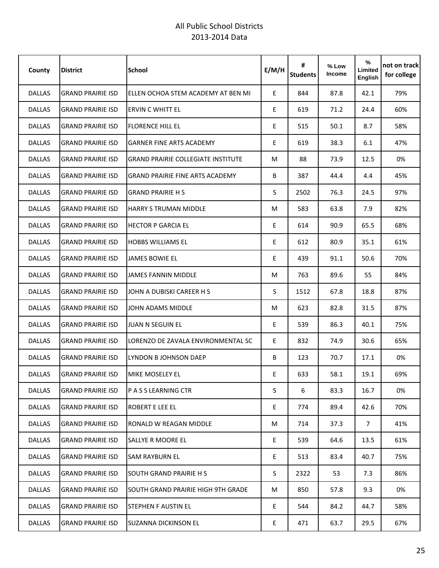| County        | <b>District</b>          | <b>School</b>                             | E/M/H | #<br><b>Students</b> | % Low<br><b>Income</b> | %<br>Limited<br>English | not on track<br>for college |
|---------------|--------------------------|-------------------------------------------|-------|----------------------|------------------------|-------------------------|-----------------------------|
| <b>DALLAS</b> | <b>GRAND PRAIRIE ISD</b> | ELLEN OCHOA STEM ACADEMY AT BEN MI        | E.    | 844                  | 87.8                   | 42.1                    | 79%                         |
| <b>DALLAS</b> | <b>GRAND PRAIRIE ISD</b> | ERVIN C WHITT EL                          | E     | 619                  | 71.2                   | 24.4                    | 60%                         |
| <b>DALLAS</b> | <b>GRAND PRAIRIE ISD</b> | <b>FLORENCE HILL EL</b>                   | E     | 515                  | 50.1                   | 8.7                     | 58%                         |
| <b>DALLAS</b> | <b>GRAND PRAIRIE ISD</b> | <b>GARNER FINE ARTS ACADEMY</b>           | E     | 619                  | 38.3                   | 6.1                     | 47%                         |
| <b>DALLAS</b> | <b>GRAND PRAIRIE ISD</b> | <b>GRAND PRAIRIE COLLEGIATE INSTITUTE</b> | M     | 88                   | 73.9                   | 12.5                    | 0%                          |
| <b>DALLAS</b> | <b>GRAND PRAIRIE ISD</b> | <b>GRAND PRAIRIE FINE ARTS ACADEMY</b>    | B     | 387                  | 44.4                   | 4.4                     | 45%                         |
| <b>DALLAS</b> | <b>GRAND PRAIRIE ISD</b> | <b>GRAND PRAIRIE H S</b>                  | S     | 2502                 | 76.3                   | 24.5                    | 97%                         |
| <b>DALLAS</b> | <b>GRAND PRAIRIE ISD</b> | <b>HARRY S TRUMAN MIDDLE</b>              | M     | 583                  | 63.8                   | 7.9                     | 82%                         |
| <b>DALLAS</b> | <b>GRAND PRAIRIE ISD</b> | <b>HECTOR P GARCIA EL</b>                 | E     | 614                  | 90.9                   | 65.5                    | 68%                         |
| <b>DALLAS</b> | <b>GRAND PRAIRIE ISD</b> | <b>HOBBS WILLIAMS EL</b>                  | E     | 612                  | 80.9                   | 35.1                    | 61%                         |
| <b>DALLAS</b> | <b>GRAND PRAIRIE ISD</b> | <b>JAMES BOWIE EL</b>                     | E     | 439                  | 91.1                   | 50.6                    | 70%                         |
| <b>DALLAS</b> | <b>GRAND PRAIRIE ISD</b> | JAMES FANNIN MIDDLE                       | M     | 763                  | 89.6                   | 55                      | 84%                         |
| <b>DALLAS</b> | <b>GRAND PRAIRIE ISD</b> | JOHN A DUBISKI CAREER H S                 | S     | 1512                 | 67.8                   | 18.8                    | 87%                         |
| <b>DALLAS</b> | <b>GRAND PRAIRIE ISD</b> | JOHN ADAMS MIDDLE                         | M     | 623                  | 82.8                   | 31.5                    | 87%                         |
| <b>DALLAS</b> | <b>GRAND PRAIRIE ISD</b> | <b>JUAN N SEGUIN EL</b>                   | E     | 539                  | 86.3                   | 40.1                    | 75%                         |
| <b>DALLAS</b> | <b>GRAND PRAIRIE ISD</b> | LORENZO DE ZAVALA ENVIRONMENTAL SC        | E     | 832                  | 74.9                   | 30.6                    | 65%                         |
| <b>DALLAS</b> | <b>GRAND PRAIRIE ISD</b> | LYNDON B JOHNSON DAEP                     | B     | 123                  | 70.7                   | 17.1                    | 0%                          |
| <b>DALLAS</b> | <b>GRAND PRAIRIE ISD</b> | <b>MIKE MOSELEY EL</b>                    | Ε     | 633                  | 58.1                   | 19.1                    | 69%                         |
| <b>DALLAS</b> | <b>GRAND PRAIRIE ISD</b> | IP A S S LEARNING CTR                     | S     | 6                    | 83.3                   | 16.7                    | 0%                          |
| DALLAS        | <b>GRAND PRAIRIE ISD</b> | <b>ROBERT E LEE EL</b>                    | E     | 774                  | 89.4                   | 42.6                    | 70%                         |
| <b>DALLAS</b> | <b>GRAND PRAIRIE ISD</b> | RONALD W REAGAN MIDDLE                    | M     | 714                  | 37.3                   | 7 <sup>7</sup>          | 41%                         |
| <b>DALLAS</b> | <b>GRAND PRAIRIE ISD</b> | SALLYE R MOORE EL                         | E     | 539                  | 64.6                   | 13.5                    | 61%                         |
| <b>DALLAS</b> | <b>GRAND PRAIRIE ISD</b> | <b>SAM RAYBURN EL</b>                     | E     | 513                  | 83.4                   | 40.7                    | 75%                         |
| <b>DALLAS</b> | <b>GRAND PRAIRIE ISD</b> | <b>SOUTH GRAND PRAIRIE H S</b>            | S     | 2322                 | 53                     | 7.3                     | 86%                         |
| <b>DALLAS</b> | <b>GRAND PRAIRIE ISD</b> | ISOUTH GRAND PRAIRIE HIGH 9TH GRADE       | М     | 850                  | 57.8                   | 9.3                     | 0%                          |
| <b>DALLAS</b> | <b>GRAND PRAIRIE ISD</b> | <b>STEPHEN F AUSTIN EL</b>                | E     | 544                  | 84.2                   | 44.7                    | 58%                         |
| DALLAS        | <b>GRAND PRAIRIE ISD</b> | ISUZANNA DICKINSON EL                     | E     | 471                  | 63.7                   | 29.5                    | 67%                         |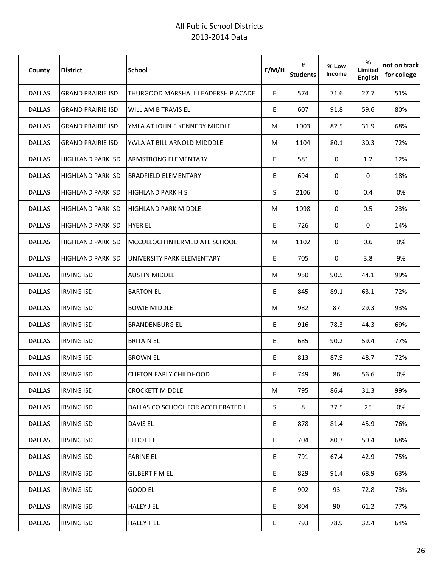| County        | <b>District</b>          | <b>School</b>                      | E/M/H | #<br><b>Students</b> | % Low<br><b>Income</b> | %<br>Limited<br><b>English</b> | not on track<br>for college |
|---------------|--------------------------|------------------------------------|-------|----------------------|------------------------|--------------------------------|-----------------------------|
| <b>DALLAS</b> | <b>GRAND PRAIRIE ISD</b> | THURGOOD MARSHALL LEADERSHIP ACADE | E.    | 574                  | 71.6                   | 27.7                           | 51%                         |
| <b>DALLAS</b> | <b>GRAND PRAIRIE ISD</b> | <b>WILLIAM B TRAVIS EL</b>         | E     | 607                  | 91.8                   | 59.6                           | 80%                         |
| <b>DALLAS</b> | <b>GRAND PRAIRIE ISD</b> | YMLA AT JOHN F KENNEDY MIDDLE      | M     | 1003                 | 82.5                   | 31.9                           | 68%                         |
| <b>DALLAS</b> | <b>GRAND PRAIRIE ISD</b> | YWLA AT BILL ARNOLD MIDDDLE        | M     | 1104                 | 80.1                   | 30.3                           | 72%                         |
| <b>DALLAS</b> | <b>HIGHLAND PARK ISD</b> | <b>ARMSTRONG ELEMENTARY</b>        | E     | 581                  | $\mathbf 0$            | 1.2                            | 12%                         |
| <b>DALLAS</b> | <b>HIGHLAND PARK ISD</b> | <b>BRADFIELD ELEMENTARY</b>        | E     | 694                  | $\mathbf 0$            | $\mathbf 0$                    | 18%                         |
| <b>DALLAS</b> | <b>HIGHLAND PARK ISD</b> | <b>HIGHLAND PARK H S</b>           | S.    | 2106                 | $\mathbf 0$            | 0.4                            | 0%                          |
| <b>DALLAS</b> | <b>HIGHLAND PARK ISD</b> | <b>HIGHLAND PARK MIDDLE</b>        | M     | 1098                 | 0                      | 0.5                            | 23%                         |
| <b>DALLAS</b> | <b>HIGHLAND PARK ISD</b> | <b>HYER EL</b>                     | E     | 726                  | 0                      | $\mathbf 0$                    | 14%                         |
| <b>DALLAS</b> | <b>HIGHLAND PARK ISD</b> | MCCULLOCH INTERMEDIATE SCHOOL      | M     | 1102                 | $\mathbf 0$            | 0.6                            | 0%                          |
| <b>DALLAS</b> | <b>HIGHLAND PARK ISD</b> | UNIVERSITY PARK ELEMENTARY         | E     | 705                  | $\mathbf 0$            | 3.8                            | 9%                          |
| <b>DALLAS</b> | <b>IRVING ISD</b>        | <b>AUSTIN MIDDLE</b>               | M     | 950                  | 90.5                   | 44.1                           | 99%                         |
| <b>DALLAS</b> | <b>IRVING ISD</b>        | <b>BARTON EL</b>                   | E     | 845                  | 89.1                   | 63.1                           | 72%                         |
| <b>DALLAS</b> | <b>IRVING ISD</b>        | <b>BOWIE MIDDLE</b>                | M     | 982                  | 87                     | 29.3                           | 93%                         |
| <b>DALLAS</b> | <b>IRVING ISD</b>        | <b>BRANDENBURG EL</b>              | E.    | 916                  | 78.3                   | 44.3                           | 69%                         |
| <b>DALLAS</b> | <b>IRVING ISD</b>        | <b>BRITAIN EL</b>                  | E     | 685                  | 90.2                   | 59.4                           | 77%                         |
| <b>DALLAS</b> | <b>IRVING ISD</b>        | <b>BROWN EL</b>                    | E     | 813                  | 87.9                   | 48.7                           | 72%                         |
| <b>DALLAS</b> | <b>IRVING ISD</b>        | <b>CLIFTON EARLY CHILDHOOD</b>     | E     | 749                  | 86                     | 56.6                           | 0%                          |
| DALLAS        | <b>IRVING ISD</b>        | <b>CROCKETT MIDDLE</b>             | M     | 795                  | 86.4                   | 31.3                           | 99%                         |
| <b>DALLAS</b> | <b>IRVING ISD</b>        | DALLAS CO SCHOOL FOR ACCELERATED L | S     | 8                    | 37.5                   | 25                             | 0%                          |
| <b>DALLAS</b> | <b>IRVING ISD</b>        | <b>DAVIS EL</b>                    | E     | 878                  | 81.4                   | 45.9                           | 76%                         |
| <b>DALLAS</b> | <b>IRVING ISD</b>        | <b>ELLIOTT EL</b>                  | E.    | 704                  | 80.3                   | 50.4                           | 68%                         |
| <b>DALLAS</b> | <b>IRVING ISD</b>        | <b>FARINE EL</b>                   | E     | 791                  | 67.4                   | 42.9                           | 75%                         |
| <b>DALLAS</b> | <b>IRVING ISD</b>        | <b>GILBERT F M EL</b>              | E     | 829                  | 91.4                   | 68.9                           | 63%                         |
| <b>DALLAS</b> | <b>IRVING ISD</b>        | GOOD EL                            | E.    | 902                  | 93                     | 72.8                           | 73%                         |
| <b>DALLAS</b> | <b>IRVING ISD</b>        | <b>HALEY J EL</b>                  | E     | 804                  | 90                     | 61.2                           | 77%                         |
| <b>DALLAS</b> | <b>IRVING ISD</b>        | <b>HALEY TEL</b>                   | E     | 793                  | 78.9                   | 32.4                           | 64%                         |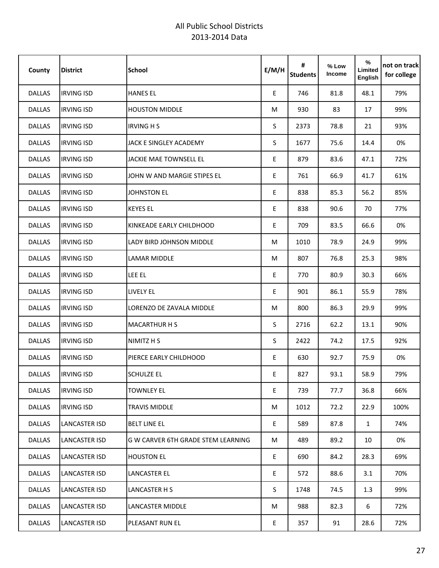| County        | <b>District</b>   | <b>School</b>                      | E/M/H | #<br><b>Students</b> | % Low<br>Income | %<br>Limited<br>English | not on track<br>for college |
|---------------|-------------------|------------------------------------|-------|----------------------|-----------------|-------------------------|-----------------------------|
| <b>DALLAS</b> | <b>IRVING ISD</b> | <b>HANES EL</b>                    | E     | 746                  | 81.8            | 48.1                    | 79%                         |
| <b>DALLAS</b> | <b>IRVING ISD</b> | <b>HOUSTON MIDDLE</b>              | M     | 930                  | 83              | 17                      | 99%                         |
| DALLAS        | <b>IRVING ISD</b> | <b>IRVING H S</b>                  | S     | 2373                 | 78.8            | 21                      | 93%                         |
| <b>DALLAS</b> | <b>IRVING ISD</b> | JACK E SINGLEY ACADEMY             | S     | 1677                 | 75.6            | 14.4                    | 0%                          |
| <b>DALLAS</b> | <b>IRVING ISD</b> | <b>JACKIE MAE TOWNSELL EL</b>      | E     | 879                  | 83.6            | 47.1                    | 72%                         |
| <b>DALLAS</b> | <b>IRVING ISD</b> | JOHN W AND MARGIE STIPES EL        | E     | 761                  | 66.9            | 41.7                    | 61%                         |
| <b>DALLAS</b> | <b>IRVING ISD</b> | <b>JOHNSTON EL</b>                 | E     | 838                  | 85.3            | 56.2                    | 85%                         |
| <b>DALLAS</b> | <b>IRVING ISD</b> | <b>KEYES EL</b>                    | E     | 838                  | 90.6            | 70                      | 77%                         |
| <b>DALLAS</b> | <b>IRVING ISD</b> | KINKEADE EARLY CHILDHOOD           | E     | 709                  | 83.5            | 66.6                    | 0%                          |
| <b>DALLAS</b> | <b>IRVING ISD</b> | LADY BIRD JOHNSON MIDDLE           | М     | 1010                 | 78.9            | 24.9                    | 99%                         |
| <b>DALLAS</b> | <b>IRVING ISD</b> | <b>LAMAR MIDDLE</b>                | M     | 807                  | 76.8            | 25.3                    | 98%                         |
| <b>DALLAS</b> | <b>IRVING ISD</b> | LEE EL                             | E     | 770                  | 80.9            | 30.3                    | 66%                         |
| <b>DALLAS</b> | <b>IRVING ISD</b> | LIVELY EL                          | E     | 901                  | 86.1            | 55.9                    | 78%                         |
| <b>DALLAS</b> | <b>IRVING ISD</b> | LORENZO DE ZAVALA MIDDLE           | M     | 800                  | 86.3            | 29.9                    | 99%                         |
| <b>DALLAS</b> | <b>IRVING ISD</b> | <b>MACARTHUR H S</b>               | S     | 2716                 | 62.2            | 13.1                    | 90%                         |
| <b>DALLAS</b> | <b>IRVING ISD</b> | NIMITZ H S                         | S     | 2422                 | 74.2            | 17.5                    | 92%                         |
| <b>DALLAS</b> | <b>IRVING ISD</b> | PIERCE EARLY CHILDHOOD             | E     | 630                  | 92.7            | 75.9                    | 0%                          |
| DALLAS        | <b>IRVING ISD</b> | <b>SCHULZE EL</b>                  | E     | 827                  | 93.1            | 58.9                    | 79%                         |
| <b>DALLAS</b> | <b>IRVING ISD</b> | <b>TOWNLEY EL</b>                  | E     | 739                  | 77.7            | 36.8                    | 66%                         |
| DALLAS        | <b>IRVING ISD</b> | <b>TRAVIS MIDDLE</b>               | M     | 1012                 | 72.2            | 22.9                    | 100%                        |
| DALLAS        | LANCASTER ISD     | <b>BELT LINE EL</b>                | E     | 589                  | 87.8            | $\mathbf{1}$            | 74%                         |
| DALLAS        | LANCASTER ISD     | G W CARVER 6TH GRADE STEM LEARNING | M     | 489                  | 89.2            | 10                      | 0%                          |
| DALLAS        | LANCASTER ISD     | <b>HOUSTON EL</b>                  | E     | 690                  | 84.2            | 28.3                    | 69%                         |
| DALLAS        | LANCASTER ISD     | LANCASTER EL                       | E     | 572                  | 88.6            | 3.1                     | 70%                         |
| <b>DALLAS</b> | LANCASTER ISD     | LANCASTER H S                      | S     | 1748                 | 74.5            | 1.3                     | 99%                         |
| <b>DALLAS</b> | LANCASTER ISD     | LANCASTER MIDDLE                   | M     | 988                  | 82.3            | 6                       | 72%                         |
| DALLAS        | LANCASTER ISD     | PLEASANT RUN EL                    | E     | 357                  | 91              | 28.6                    | 72%                         |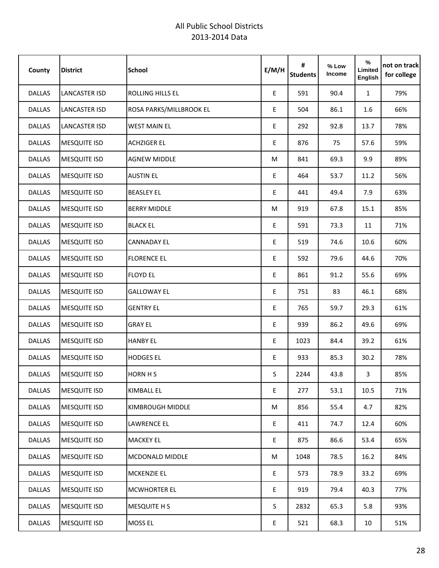| County        | <b>District</b>     | <b>School</b>           | E/M/H       | #<br><b>Students</b> | % Low<br>Income | %<br>Limited<br>English | not on track<br>for college |
|---------------|---------------------|-------------------------|-------------|----------------------|-----------------|-------------------------|-----------------------------|
| DALLAS        | LANCASTER ISD       | <b>ROLLING HILLS EL</b> | E           | 591                  | 90.4            | $\mathbf{1}$            | 79%                         |
| <b>DALLAS</b> | LANCASTER ISD       | ROSA PARKS/MILLBROOK EL | E           | 504                  | 86.1            | 1.6                     | 66%                         |
| DALLAS        | LANCASTER ISD       | <b>WEST MAIN EL</b>     | E           | 292                  | 92.8            | 13.7                    | 78%                         |
| DALLAS        | <b>MESQUITE ISD</b> | <b>ACHZIGER EL</b>      | E           | 876                  | 75              | 57.6                    | 59%                         |
| <b>DALLAS</b> | <b>MESQUITE ISD</b> | <b>AGNEW MIDDLE</b>     | M           | 841                  | 69.3            | 9.9                     | 89%                         |
| DALLAS        | <b>MESQUITE ISD</b> | <b>AUSTIN EL</b>        | E           | 464                  | 53.7            | 11.2                    | 56%                         |
| DALLAS        | <b>MESQUITE ISD</b> | <b>BEASLEY EL</b>       | E           | 441                  | 49.4            | 7.9                     | 63%                         |
| DALLAS        | <b>MESQUITE ISD</b> | <b>BERRY MIDDLE</b>     | M           | 919                  | 67.8            | 15.1                    | 85%                         |
| DALLAS        | <b>MESQUITE ISD</b> | <b>BLACK EL</b>         | E           | 591                  | 73.3            | 11                      | 71%                         |
| DALLAS        | <b>MESQUITE ISD</b> | <b>CANNADAY EL</b>      | E           | 519                  | 74.6            | 10.6                    | 60%                         |
| <b>DALLAS</b> | <b>MESQUITE ISD</b> | <b>FLORENCE EL</b>      | E           | 592                  | 79.6            | 44.6                    | 70%                         |
| <b>DALLAS</b> | <b>MESQUITE ISD</b> | <b>FLOYD EL</b>         | E           | 861                  | 91.2            | 55.6                    | 69%                         |
| <b>DALLAS</b> | <b>MESQUITE ISD</b> | <b>GALLOWAY EL</b>      | E           | 751                  | 83              | 46.1                    | 68%                         |
| DALLAS        | <b>MESQUITE ISD</b> | <b>GENTRY EL</b>        | E           | 765                  | 59.7            | 29.3                    | 61%                         |
| DALLAS        | <b>MESQUITE ISD</b> | <b>GRAY EL</b>          | $\mathsf E$ | 939                  | 86.2            | 49.6                    | 69%                         |
| DALLAS        | <b>MESQUITE ISD</b> | <b>HANBY EL</b>         | E           | 1023                 | 84.4            | 39.2                    | 61%                         |
| DALLAS        | <b>MESQUITE ISD</b> | <b>HODGES EL</b>        | E           | 933                  | 85.3            | 30.2                    | 78%                         |
| <b>DALLAS</b> | <b>MESQUITE ISD</b> | <b>HORN HS</b>          | S           | 2244                 | 43.8            | 3                       | 85%                         |
| DALLAS        | <b>MESQUITE ISD</b> | KIMBALL EL              | E           | 277                  | 53.1            | 10.5                    | 71%                         |
| DALLAS        | <b>MESQUITE ISD</b> | KIMBROUGH MIDDLE        | M           | 856                  | 55.4            | 4.7                     | 82%                         |
| DALLAS        | <b>MESQUITE ISD</b> | LAWRENCE EL             | E           | 411                  | 74.7            | 12.4                    | 60%                         |
| DALLAS        | <b>MESQUITE ISD</b> | <b>MACKEY EL</b>        | E           | 875                  | 86.6            | 53.4                    | 65%                         |
| DALLAS        | <b>MESQUITE ISD</b> | <b>MCDONALD MIDDLE</b>  | М           | 1048                 | 78.5            | 16.2                    | 84%                         |
| DALLAS        | <b>MESQUITE ISD</b> | <b>MCKENZIE EL</b>      | E           | 573                  | 78.9            | 33.2                    | 69%                         |
| <b>DALLAS</b> | <b>MESQUITE ISD</b> | <b>MCWHORTER EL</b>     | E           | 919                  | 79.4            | 40.3                    | 77%                         |
| DALLAS        | <b>MESQUITE ISD</b> | <b>MESQUITE H S</b>     | $S_{-}$     | 2832                 | 65.3            | 5.8                     | 93%                         |
| DALLAS        | <b>MESQUITE ISD</b> | <b>MOSS EL</b>          | E           | 521                  | 68.3            | 10 <sup>°</sup>         | 51%                         |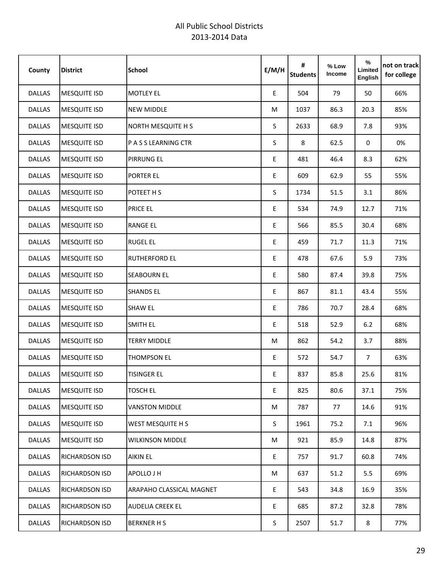| County        | <b>District</b>       | <b>School</b>            | E/M/H                                      | #<br><b>Students</b> | % Low<br>Income | %<br>Limited<br><b>English</b> | not on track <br>for college |
|---------------|-----------------------|--------------------------|--------------------------------------------|----------------------|-----------------|--------------------------------|------------------------------|
| <b>DALLAS</b> | <b>MESQUITE ISD</b>   | <b>MOTLEY EL</b>         | $\mathsf{E}% _{0}\left( \mathsf{E}\right)$ | 504                  | 79              | 50                             | 66%                          |
| DALLAS        | <b>MESQUITE ISD</b>   | <b>NEW MIDDLE</b>        | M                                          | 1037                 | 86.3            | 20.3                           | 85%                          |
| DALLAS        | <b>MESQUITE ISD</b>   | NORTH MESQUITE H S       | S                                          | 2633                 | 68.9            | 7.8                            | 93%                          |
| DALLAS        | <b>MESQUITE ISD</b>   | P A S S LEARNING CTR     | S                                          | 8                    | 62.5            | 0                              | 0%                           |
| DALLAS        | <b>MESQUITE ISD</b>   | <b>PIRRUNG EL</b>        | E                                          | 481                  | 46.4            | 8.3                            | 62%                          |
| <b>DALLAS</b> | <b>MESQUITE ISD</b>   | PORTER EL                | E                                          | 609                  | 62.9            | 55                             | 55%                          |
| <b>DALLAS</b> | <b>MESQUITE ISD</b>   | POTEET H S               | S                                          | 1734                 | 51.5            | 3.1                            | 86%                          |
| DALLAS        | <b>MESQUITE ISD</b>   | PRICE EL                 | E                                          | 534                  | 74.9            | 12.7                           | 71%                          |
| <b>DALLAS</b> | <b>MESQUITE ISD</b>   | <b>RANGE EL</b>          | E                                          | 566                  | 85.5            | 30.4                           | 68%                          |
| DALLAS        | <b>MESQUITE ISD</b>   | <b>RUGEL EL</b>          | E                                          | 459                  | 71.7            | 11.3                           | 71%                          |
| <b>DALLAS</b> | <b>MESQUITE ISD</b>   | <b>RUTHERFORD EL</b>     | E                                          | 478                  | 67.6            | 5.9                            | 73%                          |
| <b>DALLAS</b> | <b>MESQUITE ISD</b>   | <b>SEABOURN EL</b>       | E                                          | 580                  | 87.4            | 39.8                           | 75%                          |
| <b>DALLAS</b> | <b>MESQUITE ISD</b>   | <b>SHANDS EL</b>         | E                                          | 867                  | 81.1            | 43.4                           | 55%                          |
| DALLAS        | <b>MESQUITE ISD</b>   | <b>SHAW EL</b>           | E                                          | 786                  | 70.7            | 28.4                           | 68%                          |
| DALLAS        | <b>MESQUITE ISD</b>   | <b>SMITH EL</b>          | E                                          | 518                  | 52.9            | 6.2                            | 68%                          |
| DALLAS        | <b>MESQUITE ISD</b>   | <b>TERRY MIDDLE</b>      | M                                          | 862                  | 54.2            | 3.7                            | 88%                          |
| DALLAS        | <b>MESQUITE ISD</b>   | <b>THOMPSON EL</b>       | E                                          | 572                  | 54.7            | $7^{\circ}$                    | 63%                          |
| DALLAS        | <b>MESQUITE ISD</b>   | <b>TISINGER EL</b>       | E                                          | 837                  | 85.8            | 25.6                           | 81%                          |
| <b>DALLAS</b> | <b>MESQUITE ISD</b>   | <b>TOSCH EL</b>          | E                                          | 825                  | 80.6            | 37.1                           | 75%                          |
| <b>DALLAS</b> | <b>MESQUITE ISD</b>   | <b>VANSTON MIDDLE</b>    | M                                          | 787                  | 77              | 14.6                           | 91%                          |
| DALLAS        | <b>MESQUITE ISD</b>   | WEST MESQUITE H S        | S.                                         | 1961                 | 75.2            | 7.1                            | 96%                          |
| <b>DALLAS</b> | <b>MESQUITE ISD</b>   | <b>WILKINSON MIDDLE</b>  | M                                          | 921                  | 85.9            | 14.8                           | 87%                          |
| DALLAS        | RICHARDSON ISD        | <b>AIKIN EL</b>          | E                                          | 757                  | 91.7            | 60.8                           | 74%                          |
| DALLAS        | RICHARDSON ISD        | APOLLO J H               | M                                          | 637                  | 51.2            | 5.5                            | 69%                          |
| DALLAS        | <b>RICHARDSON ISD</b> | ARAPAHO CLASSICAL MAGNET | E                                          | 543                  | 34.8            | 16.9                           | 35%                          |
| <b>DALLAS</b> | <b>RICHARDSON ISD</b> | <b>AUDELIA CREEK EL</b>  | E                                          | 685                  | 87.2            | 32.8                           | 78%                          |
| DALLAS        | RICHARDSON ISD        | <b>BERKNER H S</b>       | S.                                         | 2507                 | 51.7            | 8                              | 77%                          |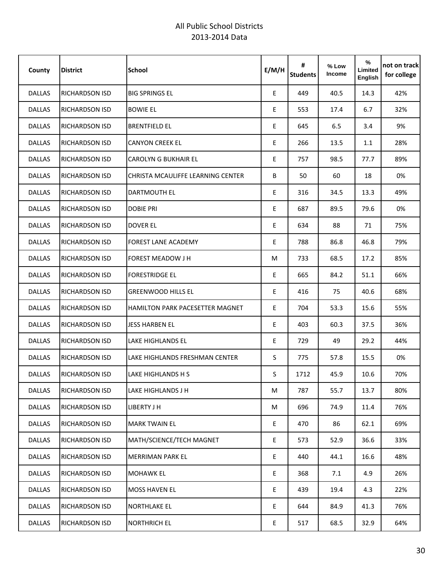| County        | <b>District</b>       | <b>School</b>                          | E/M/H | #<br><b>Students</b> | % Low<br>Income | %<br>Limited<br>English | not on track<br>for college |
|---------------|-----------------------|----------------------------------------|-------|----------------------|-----------------|-------------------------|-----------------------------|
| <b>DALLAS</b> | <b>RICHARDSON ISD</b> | <b>BIG SPRINGS EL</b>                  | E.    | 449                  | 40.5            | 14.3                    | 42%                         |
| <b>DALLAS</b> | <b>RICHARDSON ISD</b> | <b>BOWIE EL</b>                        | E     | 553                  | 17.4            | 6.7                     | 32%                         |
| <b>DALLAS</b> | <b>RICHARDSON ISD</b> | <b>BRENTFIELD EL</b>                   | E     | 645                  | 6.5             | 3.4                     | 9%                          |
| <b>DALLAS</b> | <b>RICHARDSON ISD</b> | <b>CANYON CREEK EL</b>                 | E     | 266                  | 13.5            | 1.1                     | 28%                         |
| <b>DALLAS</b> | <b>RICHARDSON ISD</b> | <b>CAROLYN G BUKHAIR EL</b>            | E     | 757                  | 98.5            | 77.7                    | 89%                         |
| <b>DALLAS</b> | <b>RICHARDSON ISD</b> | CHRISTA MCAULIFFE LEARNING CENTER      | B     | 50                   | 60              | 18                      | 0%                          |
| <b>DALLAS</b> | RICHARDSON ISD        | DARTMOUTH EL                           | E     | 316                  | 34.5            | 13.3                    | 49%                         |
| <b>DALLAS</b> | RICHARDSON ISD        | <b>DOBIE PRI</b>                       | E     | 687                  | 89.5            | 79.6                    | 0%                          |
| <b>DALLAS</b> | RICHARDSON ISD        | <b>DOVER EL</b>                        | E     | 634                  | 88              | 71                      | 75%                         |
| <b>DALLAS</b> | RICHARDSON ISD        | <b>FOREST LANE ACADEMY</b>             | E     | 788                  | 86.8            | 46.8                    | 79%                         |
| <b>DALLAS</b> | <b>RICHARDSON ISD</b> | <b>FOREST MEADOW J H</b>               | M     | 733                  | 68.5            | 17.2                    | 85%                         |
| <b>DALLAS</b> | <b>RICHARDSON ISD</b> | <b>FORESTRIDGE EL</b>                  | E     | 665                  | 84.2            | 51.1                    | 66%                         |
| <b>DALLAS</b> | <b>RICHARDSON ISD</b> | <b>GREENWOOD HILLS EL</b>              | E     | 416                  | 75              | 40.6                    | 68%                         |
| <b>DALLAS</b> | <b>RICHARDSON ISD</b> | <b>HAMILTON PARK PACESETTER MAGNET</b> | E     | 704                  | 53.3            | 15.6                    | 55%                         |
| <b>DALLAS</b> | RICHARDSON ISD        | <b>JESS HARBEN EL</b>                  | E     | 403                  | 60.3            | 37.5                    | 36%                         |
| <b>DALLAS</b> | <b>RICHARDSON ISD</b> | LAKE HIGHLANDS EL                      | E     | 729                  | 49              | 29.2                    | 44%                         |
| <b>DALLAS</b> | <b>RICHARDSON ISD</b> | LAKE HIGHLANDS FRESHMAN CENTER         | S     | 775                  | 57.8            | 15.5                    | 0%                          |
| DALLAS        | <b>RICHARDSON ISD</b> | LAKE HIGHLANDS H S                     | S.    | 1712                 | 45.9            | 10.6                    | 70%                         |
| <b>DALLAS</b> | <b>RICHARDSON ISD</b> | LAKE HIGHLANDS J H                     | M     | 787                  | 55.7            | 13.7                    | 80%                         |
| DALLAS        | RICHARDSON ISD        | LIBERTY J H                            | M     | 696                  | 74.9            | 11.4                    | 76%                         |
| DALLAS        | RICHARDSON ISD        | <b>MARK TWAIN EL</b>                   | E.    | 470                  | 86              | 62.1                    | 69%                         |
| DALLAS        | RICHARDSON ISD        | MATH/SCIENCE/TECH MAGNET               | E.    | 573                  | 52.9            | 36.6                    | 33%                         |
| DALLAS        | RICHARDSON ISD        | <b>MERRIMAN PARK EL</b>                | E     | 440                  | 44.1            | 16.6                    | 48%                         |
| DALLAS        | <b>RICHARDSON ISD</b> | <b>MOHAWK EL</b>                       | E     | 368                  | 7.1             | 4.9                     | 26%                         |
| DALLAS        | <b>RICHARDSON ISD</b> | <b>MOSS HAVEN EL</b>                   | E.    | 439                  | 19.4            | 4.3                     | 22%                         |
| <b>DALLAS</b> | RICHARDSON ISD        | <b>NORTHLAKE EL</b>                    | E.    | 644                  | 84.9            | 41.3                    | 76%                         |
| DALLAS        | RICHARDSON ISD        | <b>NORTHRICH EL</b>                    | E     | 517                  | 68.5            | 32.9                    | 64%                         |